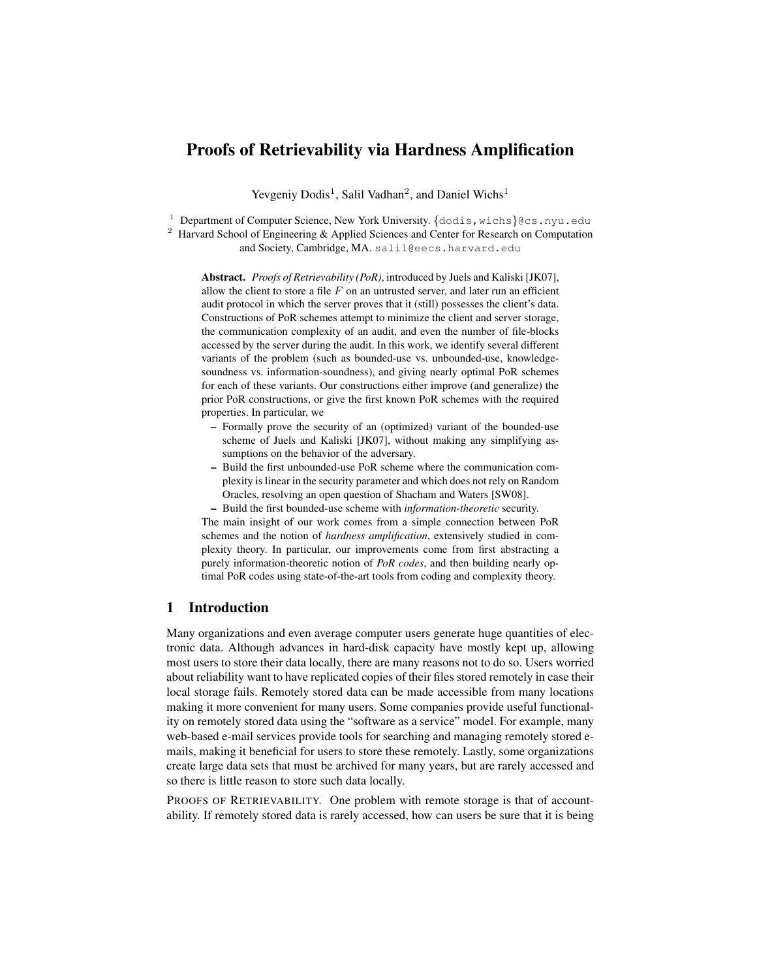# Proofs of Retrievability via Hardness Amplification

Yevgeniy Dodis<sup>1</sup>, Salil Vadhan<sup>2</sup>, and Daniel Wichs<sup>1</sup>

<sup>1</sup> Department of Computer Science, New York University. {dodis, wichs}@cs.nyu.edu

<sup>2</sup> Harvard School of Engineering & Applied Sciences and Center for Research on Computation and Society, Cambridge, MA. salil@eecs.harvard.edu

Abstract. *Proofs of Retrievability (PoR)*, introduced by Juels and Kaliski [JK07], allow the client to store a file  $F$  on an untrusted server, and later run an efficient audit protocol in which the server proves that it (still) possesses the client's data. Constructions of PoR schemes attempt to minimize the client and server storage, the communication complexity of an audit, and even the number of file-blocks accessed by the server during the audit. In this work, we identify several different variants of the problem (such as bounded-use vs. unbounded-use, knowledgesoundness vs. information-soundness), and giving nearly optimal PoR schemes for each of these variants. Our constructions either improve (and generalize) the prior PoR constructions, or give the first known PoR schemes with the required properties. In particular, we

- Formally prove the security of an (optimized) variant of the bounded-use scheme of Juels and Kaliski [JK07], without making any simplifying assumptions on the behavior of the adversary.
- Build the first unbounded-use PoR scheme where the communication complexity is linear in the security parameter and which does not rely on Random Oracles, resolving an open question of Shacham and Waters [SW08].

– Build the first bounded-use scheme with *information-theoretic* security. The main insight of our work comes from a simple connection between PoR schemes and the notion of *hardness amplification*, extensively studied in complexity theory. In particular, our improvements come from first abstracting a purely information-theoretic notion of *PoR codes*, and then building nearly optimal PoR codes using state-of-the-art tools from coding and complexity theory.

# 1 Introduction

Many organizations and even average computer users generate huge quantities of electronic data. Although advances in hard-disk capacity have mostly kept up, allowing most users to store their data locally, there are many reasons not to do so. Users worried about reliability want to have replicated copies of their files stored remotely in case their local storage fails. Remotely stored data can be made accessible from many locations making it more convenient for many users. Some companies provide useful functionality on remotely stored data using the "software as a service" model. For example, many web-based e-mail services provide tools for searching and managing remotely stored emails, making it beneficial for users to store these remotely. Lastly, some organizations create large data sets that must be archived for many years, but are rarely accessed and so there is little reason to store such data locally.

PROOFS OF RETRIEVABILITY. One problem with remote storage is that of accountability. If remotely stored data is rarely accessed, how can users be sure that it is being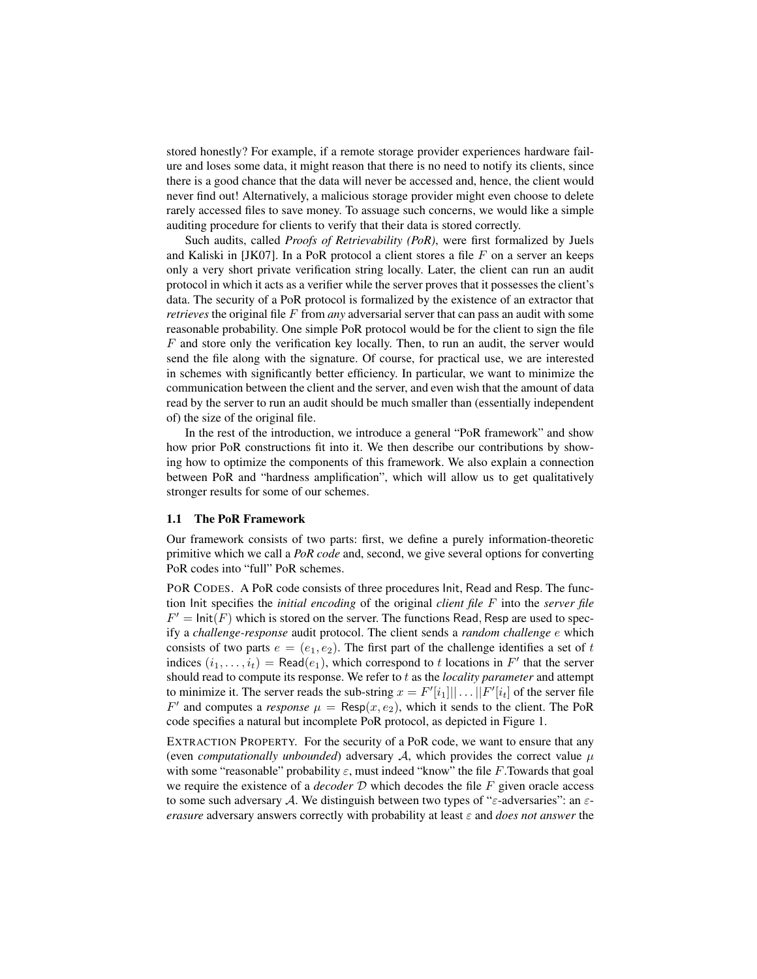stored honestly? For example, if a remote storage provider experiences hardware failure and loses some data, it might reason that there is no need to notify its clients, since there is a good chance that the data will never be accessed and, hence, the client would never find out! Alternatively, a malicious storage provider might even choose to delete rarely accessed files to save money. To assuage such concerns, we would like a simple auditing procedure for clients to verify that their data is stored correctly.

Such audits, called *Proofs of Retrievability (PoR)*, were first formalized by Juels and Kaliski in [JK07]. In a PoR protocol a client stores a file  $F$  on a server an keeps only a very short private verification string locally. Later, the client can run an audit protocol in which it acts as a verifier while the server proves that it possesses the client's data. The security of a PoR protocol is formalized by the existence of an extractor that *retrieves* the original file F from *any* adversarial server that can pass an audit with some reasonable probability. One simple PoR protocol would be for the client to sign the file  $F$  and store only the verification key locally. Then, to run an audit, the server would send the file along with the signature. Of course, for practical use, we are interested in schemes with significantly better efficiency. In particular, we want to minimize the communication between the client and the server, and even wish that the amount of data read by the server to run an audit should be much smaller than (essentially independent of) the size of the original file.

In the rest of the introduction, we introduce a general "PoR framework" and show how prior PoR constructions fit into it. We then describe our contributions by showing how to optimize the components of this framework. We also explain a connection between PoR and "hardness amplification", which will allow us to get qualitatively stronger results for some of our schemes.

### 1.1 The PoR Framework

Our framework consists of two parts: first, we define a purely information-theoretic primitive which we call a *PoR code* and, second, we give several options for converting PoR codes into "full" PoR schemes.

POR CODES. A PoR code consists of three procedures Init, Read and Resp. The function Init specifies the *initial encoding* of the original *client file* F into the *server file*  $F' = \text{Init}(F)$  which is stored on the server. The functions Read, Resp are used to specify a *challenge-response* audit protocol. The client sends a *random challenge* e which consists of two parts  $e = (e_1, e_2)$ . The first part of the challenge identifies a set of t indices  $(i_1, \ldots, i_t)$  = Read $(e_1)$ , which correspond to t locations in F' that the server should read to compute its response. We refer to t as the *locality parameter* and attempt to minimize it. The server reads the sub-string  $x = F'[i_1] \mid \dots \mid F'[i_t]$  of the server file  $F'$  and computes a *response*  $\mu = \text{Resp}(x, e_2)$ , which it sends to the client. The PoR code specifies a natural but incomplete PoR protocol, as depicted in Figure 1.

EXTRACTION PROPERTY. For the security of a PoR code, we want to ensure that any (even *computationally unbounded*) adversary  $A$ , which provides the correct value  $\mu$ with some "reasonable" probability  $\varepsilon$ , must indeed "know" the file F.Towards that goal we require the existence of a *decoder* D which decodes the file F given oracle access to some such adversary A. We distinguish between two types of " $\varepsilon$ -adversaries": an  $\varepsilon$ *erasure* adversary answers correctly with probability at least ε and *does not answer* the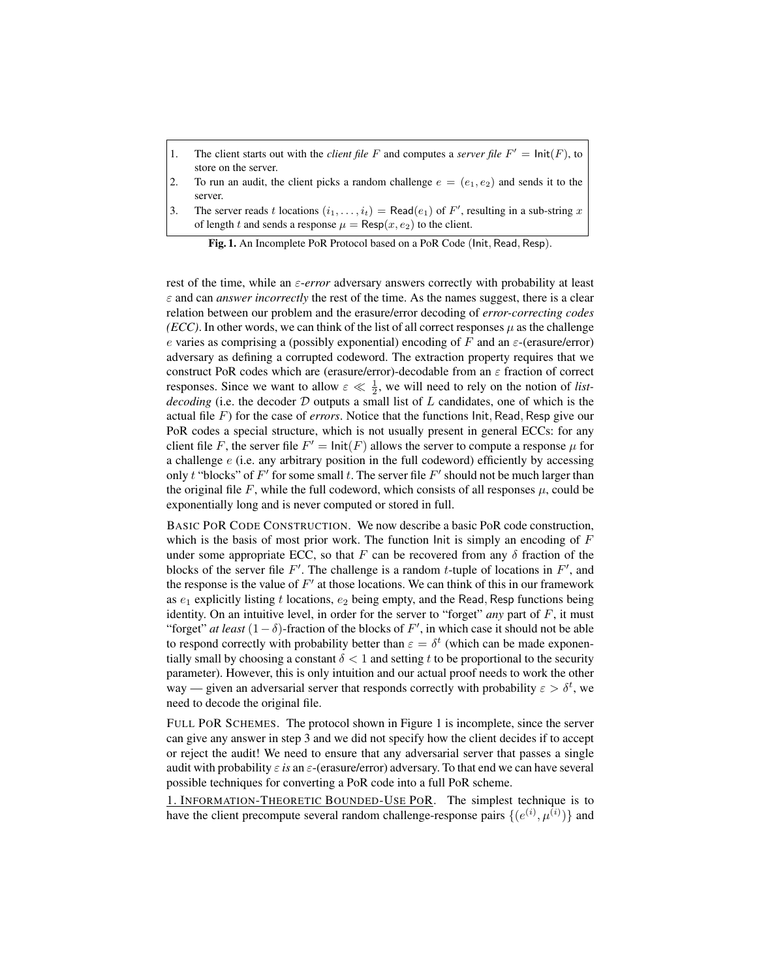| The client starts out with the <i>client file</i> F and computes a <i>server file</i> $F' = \text{Init}(F)$ , to |
|------------------------------------------------------------------------------------------------------------------|
| store on the server.                                                                                             |

- 2. To run an audit, the client picks a random challenge  $e = (e_1, e_2)$  and sends it to the server.
- 3. The server reads t locations  $(i_1, \ldots, i_t)$  = Read $(e_1)$  of  $F'$ , resulting in a sub-string x of length t and sends a response  $\mu = \text{Resp}(x, e_2)$  to the client.

Fig. 1. An Incomplete PoR Protocol based on a PoR Code (Init, Read, Resp).

rest of the time, while an ε-*error* adversary answers correctly with probability at least  $\varepsilon$  and can *answer incorrectly* the rest of the time. As the names suggest, there is a clear relation between our problem and the erasure/error decoding of *error-correcting codes (ECC)*. In other words, we can think of the list of all correct responses  $\mu$  as the challenge e varies as comprising a (possibly exponential) encoding of F and an  $\varepsilon$ -(erasure/error) adversary as defining a corrupted codeword. The extraction property requires that we construct PoR codes which are (erasure/error)-decodable from an  $\varepsilon$  fraction of correct responses. Since we want to allow  $\varepsilon \ll \frac{1}{2}$ , we will need to rely on the notion of *listdecoding* (i.e. the decoder D outputs a small list of L candidates, one of which is the actual file F) for the case of *errors*. Notice that the functions Init, Read, Resp give our PoR codes a special structure, which is not usually present in general ECCs: for any client file F, the server file  $F' = \text{Init}(F)$  allows the server to compute a response  $\mu$  for a challenge  $e$  (i.e. any arbitrary position in the full codeword) efficiently by accessing only t "blocks" of  $F'$  for some small t. The server file  $F'$  should not be much larger than the original file F, while the full codeword, which consists of all responses  $\mu$ , could be exponentially long and is never computed or stored in full.

BASIC POR CODE CONSTRUCTION. We now describe a basic PoR code construction, which is the basis of most prior work. The function lnit is simply an encoding of  $F$ under some appropriate ECC, so that F can be recovered from any  $\delta$  fraction of the blocks of the server file  $F'$ . The challenge is a random t-tuple of locations in  $F'$ , and the response is the value of  $F'$  at those locations. We can think of this in our framework as  $e_1$  explicitly listing t locations,  $e_2$  being empty, and the Read, Resp functions being identity. On an intuitive level, in order for the server to "forget" *any* part of F, it must "forget" *at least*  $(1 - \delta)$ -fraction of the blocks of F', in which case it should not be able to respond correctly with probability better than  $\varepsilon = \delta^t$  (which can be made exponentially small by choosing a constant  $\delta < 1$  and setting t to be proportional to the security parameter). However, this is only intuition and our actual proof needs to work the other way — given an adversarial server that responds correctly with probability  $\varepsilon > \delta^t$ , we need to decode the original file.

FULL POR SCHEMES. The protocol shown in Figure 1 is incomplete, since the server can give any answer in step 3 and we did not specify how the client decides if to accept or reject the audit! We need to ensure that any adversarial server that passes a single audit with probability  $\varepsilon$  *is* an  $\varepsilon$ -(erasure/error) adversary. To that end we can have several possible techniques for converting a PoR code into a full PoR scheme.

1. INFORMATION-THEORETIC BOUNDED-USE POR. The simplest technique is to have the client precompute several random challenge-response pairs  $\{(e^{(i)}, \mu^{(i)})\}$  and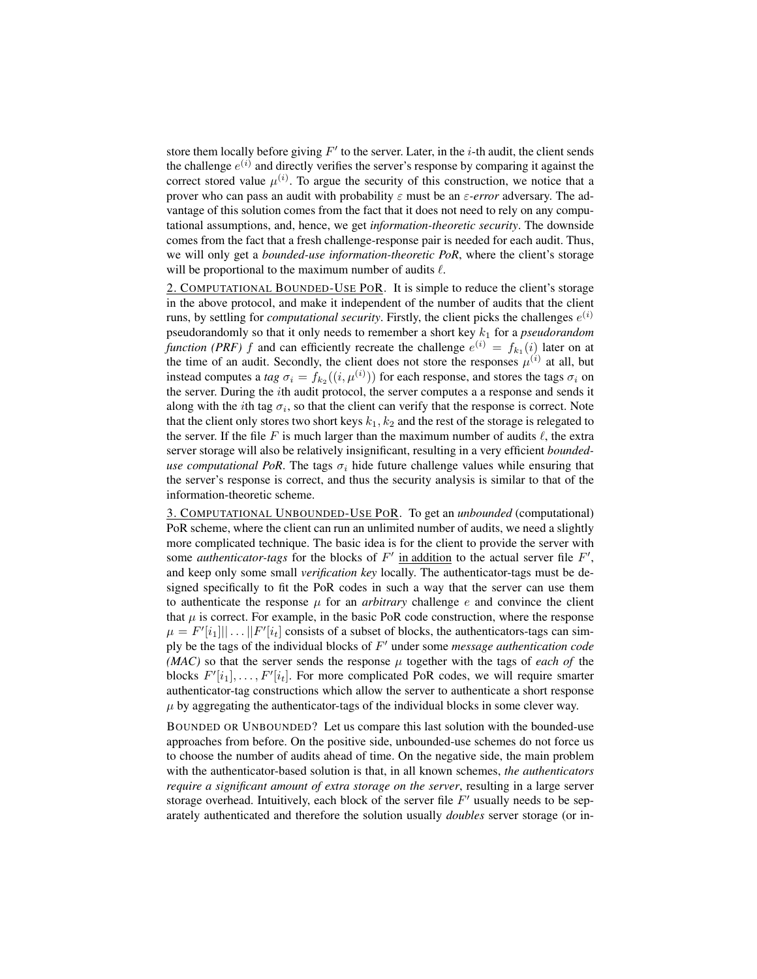store them locally before giving  $F'$  to the server. Later, in the *i*-th audit, the client sends the challenge  $e^{(i)}$  and directly verifies the server's response by comparing it against the correct stored value  $\mu^{(i)}$ . To argue the security of this construction, we notice that a prover who can pass an audit with probability ε must be an ε*-error* adversary. The advantage of this solution comes from the fact that it does not need to rely on any computational assumptions, and, hence, we get *information-theoretic security*. The downside comes from the fact that a fresh challenge-response pair is needed for each audit. Thus, we will only get a *bounded-use information-theoretic PoR*, where the client's storage will be proportional to the maximum number of audits  $\ell$ .

2. COMPUTATIONAL BOUNDED-USE POR. It is simple to reduce the client's storage in the above protocol, and make it independent of the number of audits that the client runs, by settling for *computational security*. Firstly, the client picks the challenges  $e^{(i)}$ pseudorandomly so that it only needs to remember a short key  $k_1$  for a *pseudorandom function (PRF)* f and can efficiently recreate the challenge  $e^{(i)} = f_{k_1}(i)$  later on at the time of an audit. Secondly, the client does not store the responses  $\mu^{(i)}$  at all, but instead computes a *tag*  $\sigma_i = f_{k_2}((i, \mu^{(i)}))$  for each response, and stores the tags  $\sigma_i$  on the server. During the *i*th audit protocol, the server computes a a response and sends it along with the *i*th tag  $\sigma_i$ , so that the client can verify that the response is correct. Note that the client only stores two short keys  $k_1, k_2$  and the rest of the storage is relegated to the server. If the file F is much larger than the maximum number of audits  $\ell$ , the extra server storage will also be relatively insignificant, resulting in a very efficient *boundeduse computational PoR*. The tags  $\sigma_i$  hide future challenge values while ensuring that the server's response is correct, and thus the security analysis is similar to that of the information-theoretic scheme.

3. COMPUTATIONAL UNBOUNDED-USE POR. To get an *unbounded* (computational) PoR scheme, where the client can run an unlimited number of audits, we need a slightly more complicated technique. The basic idea is for the client to provide the server with some *authenticator-tags* for the blocks of  $F'$  in addition to the actual server file  $F'$ , and keep only some small *verification key* locally. The authenticator-tags must be designed specifically to fit the PoR codes in such a way that the server can use them to authenticate the response  $\mu$  for an *arbitrary* challenge e and convince the client that  $\mu$  is correct. For example, in the basic PoR code construction, where the response  $\mu = F'[i_1] \mid \dots \mid F'[i_t]$  consists of a subset of blocks, the authenticators-tags can simply be the tags of the individual blocks of F' under some *message authentication code (MAC)* so that the server sends the response  $\mu$  together with the tags of *each of* the blocks  $F'[i_1], \ldots, F'[i_t]$ . For more complicated PoR codes, we will require smarter authenticator-tag constructions which allow the server to authenticate a short response  $\mu$  by aggregating the authenticator-tags of the individual blocks in some clever way.

BOUNDED OR UNBOUNDED? Let us compare this last solution with the bounded-use approaches from before. On the positive side, unbounded-use schemes do not force us to choose the number of audits ahead of time. On the negative side, the main problem with the authenticator-based solution is that, in all known schemes, *the authenticators require a significant amount of extra storage on the server*, resulting in a large server storage overhead. Intuitively, each block of the server file  $F'$  usually needs to be separately authenticated and therefore the solution usually *doubles* server storage (or in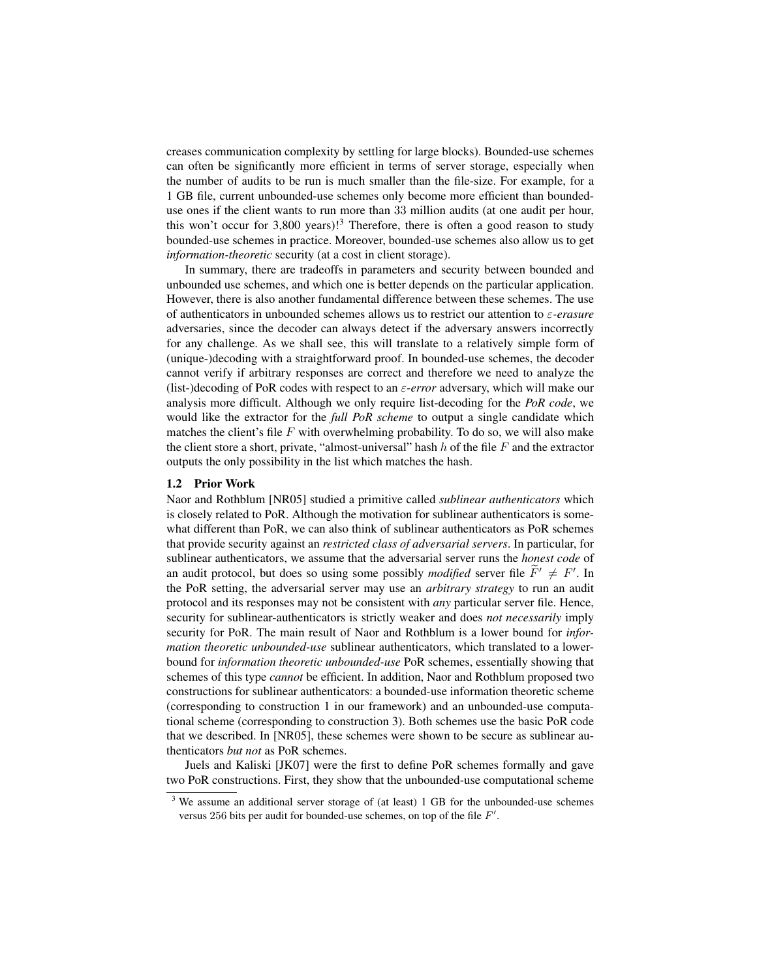creases communication complexity by settling for large blocks). Bounded-use schemes can often be significantly more efficient in terms of server storage, especially when the number of audits to be run is much smaller than the file-size. For example, for a 1 GB file, current unbounded-use schemes only become more efficient than boundeduse ones if the client wants to run more than 33 million audits (at one audit per hour, this won't occur for  $3,800$  years)!<sup>3</sup> Therefore, there is often a good reason to study bounded-use schemes in practice. Moreover, bounded-use schemes also allow us to get *information-theoretic* security (at a cost in client storage).

In summary, there are tradeoffs in parameters and security between bounded and unbounded use schemes, and which one is better depends on the particular application. However, there is also another fundamental difference between these schemes. The use of authenticators in unbounded schemes allows us to restrict our attention to ε*-erasure* adversaries, since the decoder can always detect if the adversary answers incorrectly for any challenge. As we shall see, this will translate to a relatively simple form of (unique-)decoding with a straightforward proof. In bounded-use schemes, the decoder cannot verify if arbitrary responses are correct and therefore we need to analyze the (list-)decoding of PoR codes with respect to an ε-*error* adversary, which will make our analysis more difficult. Although we only require list-decoding for the *PoR code*, we would like the extractor for the *full PoR scheme* to output a single candidate which matches the client's file  $F$  with overwhelming probability. To do so, we will also make the client store a short, private, "almost-universal" hash  $h$  of the file  $F$  and the extractor outputs the only possibility in the list which matches the hash.

#### 1.2 Prior Work

Naor and Rothblum [NR05] studied a primitive called *sublinear authenticators* which is closely related to PoR. Although the motivation for sublinear authenticators is somewhat different than PoR, we can also think of sublinear authenticators as PoR schemes that provide security against an *restricted class of adversarial servers*. In particular, for sublinear authenticators, we assume that the adversarial server runs the *honest code* of an audit protocol, but does so using some possibly *modified* server file  $\tilde{F}' \neq F'$ . In the PoR setting, the adversarial server may use an *arbitrary strategy* to run an audit protocol and its responses may not be consistent with *any* particular server file. Hence, security for sublinear-authenticators is strictly weaker and does *not necessarily* imply security for PoR. The main result of Naor and Rothblum is a lower bound for *information theoretic unbounded-use* sublinear authenticators, which translated to a lowerbound for *information theoretic unbounded-use* PoR schemes, essentially showing that schemes of this type *cannot* be efficient. In addition, Naor and Rothblum proposed two constructions for sublinear authenticators: a bounded-use information theoretic scheme (corresponding to construction 1 in our framework) and an unbounded-use computational scheme (corresponding to construction 3). Both schemes use the basic PoR code that we described. In [NR05], these schemes were shown to be secure as sublinear authenticators *but not* as PoR schemes.

Juels and Kaliski [JK07] were the first to define PoR schemes formally and gave two PoR constructions. First, they show that the unbounded-use computational scheme

<sup>&</sup>lt;sup>3</sup> We assume an additional server storage of (at least) 1 GB for the unbounded-use schemes versus 256 bits per audit for bounded-use schemes, on top of the file  $F'$ .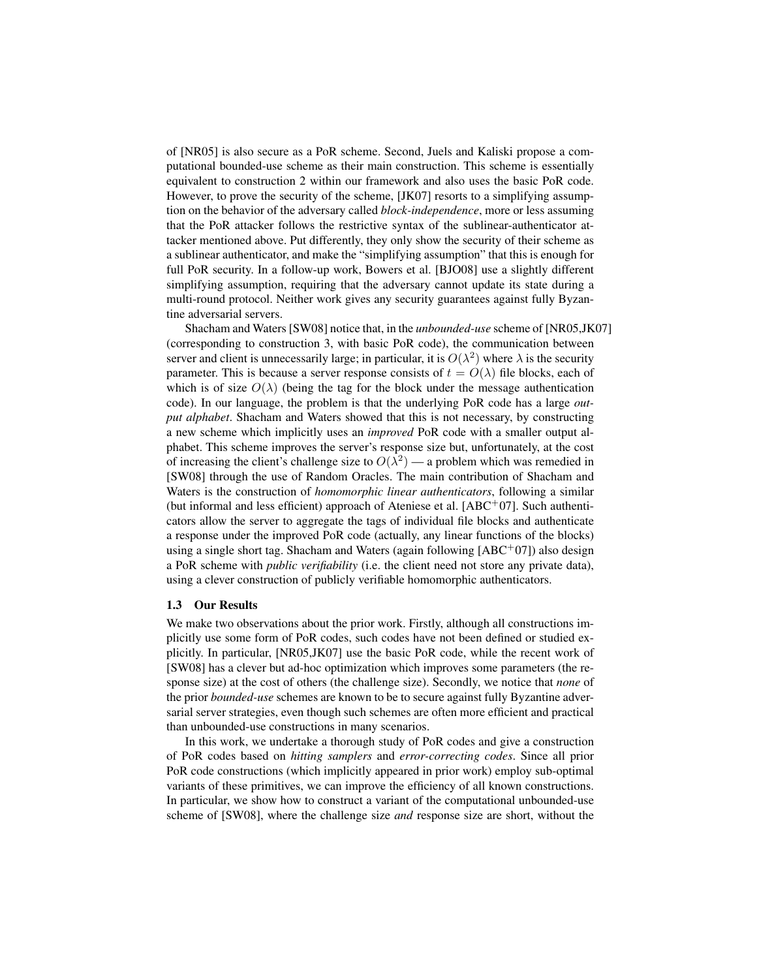of [NR05] is also secure as a PoR scheme. Second, Juels and Kaliski propose a computational bounded-use scheme as their main construction. This scheme is essentially equivalent to construction 2 within our framework and also uses the basic PoR code. However, to prove the security of the scheme, [JK07] resorts to a simplifying assumption on the behavior of the adversary called *block-independence*, more or less assuming that the PoR attacker follows the restrictive syntax of the sublinear-authenticator attacker mentioned above. Put differently, they only show the security of their scheme as a sublinear authenticator, and make the "simplifying assumption" that this is enough for full PoR security. In a follow-up work, Bowers et al. [BJO08] use a slightly different simplifying assumption, requiring that the adversary cannot update its state during a multi-round protocol. Neither work gives any security guarantees against fully Byzantine adversarial servers.

Shacham and Waters [SW08] notice that, in the *unbounded-use* scheme of [NR05,JK07] (corresponding to construction 3, with basic PoR code), the communication between server and client is unnecessarily large; in particular, it is  $O(\lambda^2)$  where  $\lambda$  is the security parameter. This is because a server response consists of  $t = O(\lambda)$  file blocks, each of which is of size  $O(\lambda)$  (being the tag for the block under the message authentication code). In our language, the problem is that the underlying PoR code has a large *output alphabet*. Shacham and Waters showed that this is not necessary, by constructing a new scheme which implicitly uses an *improved* PoR code with a smaller output alphabet. This scheme improves the server's response size but, unfortunately, at the cost of increasing the client's challenge size to  $O(\lambda^2)$  — a problem which was remedied in [SW08] through the use of Random Oracles. The main contribution of Shacham and Waters is the construction of *homomorphic linear authenticators*, following a similar (but informal and less efficient) approach of Ateniese et al.  $[ABC^+07]$ . Such authenticators allow the server to aggregate the tags of individual file blocks and authenticate a response under the improved PoR code (actually, any linear functions of the blocks) using a single short tag. Shacham and Waters (again following  $[ABC^+07]$ ) also design a PoR scheme with *public verifiability* (i.e. the client need not store any private data), using a clever construction of publicly verifiable homomorphic authenticators.

#### 1.3 Our Results

We make two observations about the prior work. Firstly, although all constructions implicitly use some form of PoR codes, such codes have not been defined or studied explicitly. In particular, [NR05,JK07] use the basic PoR code, while the recent work of [SW08] has a clever but ad-hoc optimization which improves some parameters (the response size) at the cost of others (the challenge size). Secondly, we notice that *none* of the prior *bounded-use* schemes are known to be to secure against fully Byzantine adversarial server strategies, even though such schemes are often more efficient and practical than unbounded-use constructions in many scenarios.

In this work, we undertake a thorough study of PoR codes and give a construction of PoR codes based on *hitting samplers* and *error-correcting codes*. Since all prior PoR code constructions (which implicitly appeared in prior work) employ sub-optimal variants of these primitives, we can improve the efficiency of all known constructions. In particular, we show how to construct a variant of the computational unbounded-use scheme of [SW08], where the challenge size *and* response size are short, without the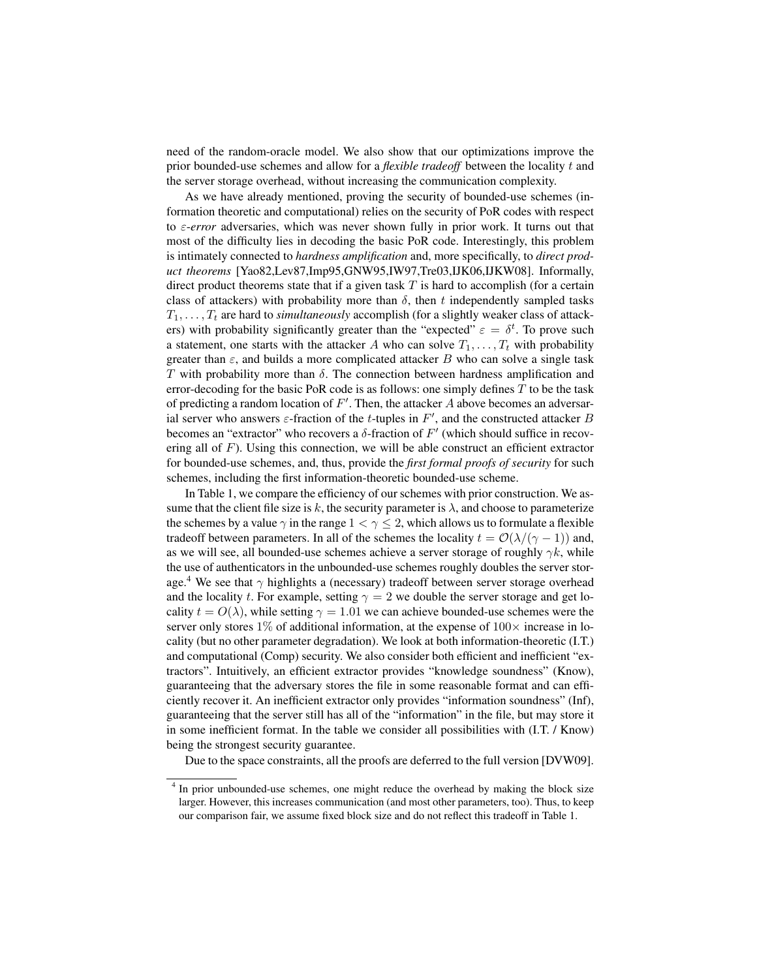need of the random-oracle model. We also show that our optimizations improve the prior bounded-use schemes and allow for a *flexible tradeoff* between the locality t and the server storage overhead, without increasing the communication complexity.

As we have already mentioned, proving the security of bounded-use schemes (information theoretic and computational) relies on the security of PoR codes with respect to ε-*error* adversaries, which was never shown fully in prior work. It turns out that most of the difficulty lies in decoding the basic PoR code. Interestingly, this problem is intimately connected to *hardness amplification* and, more specifically, to *direct product theorems* [Yao82,Lev87,Imp95,GNW95,IW97,Tre03,IJK06,IJKW08]. Informally, direct product theorems state that if a given task  $T$  is hard to accomplish (for a certain class of attackers) with probability more than  $\delta$ , then t independently sampled tasks  $T_1, \ldots, T_t$  are hard to *simultaneously* accomplish (for a slightly weaker class of attackers) with probability significantly greater than the "expected"  $\varepsilon = \delta^t$ . To prove such a statement, one starts with the attacker A who can solve  $T_1, \ldots, T_t$  with probability greater than  $\varepsilon$ , and builds a more complicated attacker B who can solve a single task T with probability more than  $\delta$ . The connection between hardness amplification and error-decoding for the basic PoR code is as follows: one simply defines  $T$  to be the task of predicting a random location of  $F'$ . Then, the attacker  $A$  above becomes an adversarial server who answers  $\varepsilon$ -fraction of the t-tuples in  $F'$ , and the constructed attacker B becomes an "extractor" who recovers a  $\delta$ -fraction of  $F'$  (which should suffice in recovering all of  $F$ ). Using this connection, we will be able construct an efficient extractor for bounded-use schemes, and, thus, provide the *first formal proofs of security* for such schemes, including the first information-theoretic bounded-use scheme.

In Table 1, we compare the efficiency of our schemes with prior construction. We assume that the client file size is k, the security parameter is  $\lambda$ , and choose to parameterize the schemes by a value  $\gamma$  in the range  $1 < \gamma \leq 2$ , which allows us to formulate a flexible tradeoff between parameters. In all of the schemes the locality  $t = \mathcal{O}(\lambda/(\gamma - 1))$  and, as we will see, all bounded-use schemes achieve a server storage of roughly  $\gamma k$ , while the use of authenticators in the unbounded-use schemes roughly doubles the server storage.<sup>4</sup> We see that  $\gamma$  highlights a (necessary) tradeoff between server storage overhead and the locality t. For example, setting  $\gamma = 2$  we double the server storage and get locality  $t = O(\lambda)$ , while setting  $\gamma = 1.01$  we can achieve bounded-use schemes were the server only stores 1% of additional information, at the expense of  $100\times$  increase in locality (but no other parameter degradation). We look at both information-theoretic (I.T.) and computational (Comp) security. We also consider both efficient and inefficient "extractors". Intuitively, an efficient extractor provides "knowledge soundness" (Know), guaranteeing that the adversary stores the file in some reasonable format and can efficiently recover it. An inefficient extractor only provides "information soundness" (Inf), guaranteeing that the server still has all of the "information" in the file, but may store it in some inefficient format. In the table we consider all possibilities with (I.T. / Know) being the strongest security guarantee.

Due to the space constraints, all the proofs are deferred to the full version [DVW09].

<sup>&</sup>lt;sup>4</sup> In prior unbounded-use schemes, one might reduce the overhead by making the block size larger. However, this increases communication (and most other parameters, too). Thus, to keep our comparison fair, we assume fixed block size and do not reflect this tradeoff in Table 1.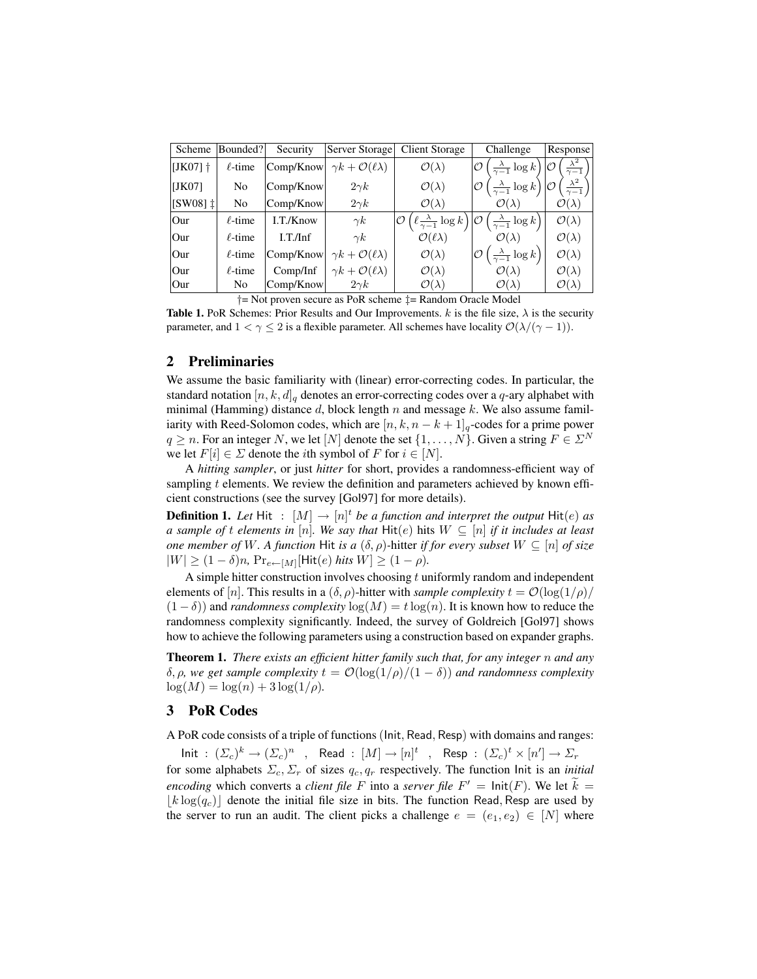| Scheme      | Bounded?     | Security   | Server Storage                         | Client Storage                                     | Challenge                                                | Response                                    |
|-------------|--------------|------------|----------------------------------------|----------------------------------------------------|----------------------------------------------------------|---------------------------------------------|
| $ [JK07]$ † | $\ell$ -time | Comp/Know  | $\gamma k + \mathcal{O}(\ell \lambda)$ | $\mathcal{O}(\lambda)$                             | $\frac{\lambda}{\gamma-1}\log k$ <sup>'</sup><br>O       | $\mathcal{O}$<br>$\frac{\lambda}{\gamma-1}$ |
| JK07        | No           | Comp/Know  | $2\n\neg k$                            | $\mathcal{O}(\lambda)$                             | $\mathcal{O}\left(\frac{\lambda}{\gamma-1}\log k\right)$ | $\frac{\lambda^2}{\gamma-1}\right)$<br>O    |
| $ SW08 $ ‡  | No           | Comp/Know  | $2\n\neg k$                            | $\mathcal{O}(\lambda)$                             |                                                          |                                             |
| Our         | $\ell$ -time | I.T./Know  | $\gamma k$                             | $\left\ell \frac{\lambda}{\gamma-1} \log k\right)$ | $\frac{\lambda}{\gamma-1} \log k$<br>O                   | $\mathcal{O}(\lambda)$                      |
| Our         | $\ell$ -time | $I.T$ /Inf | $\gamma k$                             | $\mathcal{O}(\ell\lambda)$                         | $\mathcal{O}(\lambda)$                                   | $\mathcal{O}(\lambda)$                      |
| Our         | $\ell$ -time | Comp/Know  | $\gamma k + \mathcal{O}(\ell \lambda)$ | $\mathcal{O}(\lambda)$                             | $\frac{\lambda}{\gamma-1} \log k$<br>O                   | $\mathcal{O}(\lambda)$                      |
| Our         | $\ell$ -time | Comp/Inf   | $\gamma k + \mathcal{O}(\ell \lambda)$ | $\mathcal{O}(\lambda)$                             | $\mathcal{O}(\lambda)$                                   | $\mathcal{O}(\lambda)$                      |
| Our         | No.          | Comp/Know  | $2\n\neg k$                            | $\mathcal{O}(\lambda)$                             | $\mathcal{O}(\lambda)$                                   | $\mathcal{O}(\lambda)$                      |

†= Not proven secure as PoR scheme ‡= Random Oracle Model

**Table 1.** PoR Schemes: Prior Results and Our Improvements. k is the file size,  $\lambda$  is the security parameter, and  $1 < \gamma \leq 2$  is a flexible parameter. All schemes have locality  $\mathcal{O}(\lambda/(\gamma - 1))$ .

# 2 Preliminaries

We assume the basic familiarity with (linear) error-correcting codes. In particular, the standard notation  $[n, k, d]_q$  denotes an error-correcting codes over a q-ary alphabet with minimal (Hamming) distance  $d$ , block length  $n$  and message  $k$ . We also assume familiarity with Reed-Solomon codes, which are  $[n, k, n - k + 1]_q$ -codes for a prime power  $q \ge n$ . For an integer N, we let  $[N]$  denote the set  $\{1, \ldots, N\}$ . Given a string  $F \in \mathbb{Z}^N$ we let  $F[i] \in \Sigma$  denote the *i*th symbol of F for  $i \in [N]$ .

A *hitting sampler*, or just *hitter* for short, provides a randomness-efficient way of sampling  $t$  elements. We review the definition and parameters achieved by known efficient constructions (see the survey [Gol97] for more details).

**Definition 1.** Let Hit  $\,$ :  $[M] \rightarrow [n]^t$  be a function and interpret the output Hit $(e)$  as *a sample of t elements in* [n]. We say that  $\text{Hit}(e)$  hits  $W \subseteq [n]$  *if it includes at least one member of* W. A function Hit *is a*  $(\delta, \rho)$ -hitter *if for every subset*  $W \subseteq [n]$  *of size*  $|W| \ge (1 - \delta)n$ ,  $\Pr_{e \leftarrow [M]}[\text{Hit}(e) \text{ hits } W] \ge (1 - \rho)$ *.* 

A simple hitter construction involves choosing  $t$  uniformly random and independent elements of [n]. This results in a  $(\delta, \rho)$ -hitter with *sample complexity*  $t = \mathcal{O}(\log(1/\rho))$  $(1 - \delta)$ ) and *randomness complexity*  $\log(M) = t \log(n)$ . It is known how to reduce the randomness complexity significantly. Indeed, the survey of Goldreich [Gol97] shows how to achieve the following parameters using a construction based on expander graphs.

Theorem 1. *There exists an efficient hitter family such that, for any integer* n *and any* δ, ρ*, we get sample complexity* t = O(log(1/ρ)/(1 − δ)) *and randomness complexity*  $log(M) = log(n) + 3 log(1/\rho)$ .

# 3 PoR Codes

A PoR code consists of a triple of functions (Init, Read, Resp) with domains and ranges:

 $\mathsf{Init} \,:\, (\varSigma_c)^k \to (\varSigma_c)^n \;\;\; , \;\;\mathsf{Read} \,:\, [M] \to [n]^t \;\;\; , \;\;\mathsf{Resp} \,:\, (\varSigma_c)^t \times [n'] \to \varSigma_r$ for some alphabets  $\Sigma_c$ ,  $\Sigma_r$  of sizes  $q_c$ ,  $q_r$  respectively. The function lnit is an *initial encoding* which converts a *client file* F into a *server file*  $F' = \text{Init}(F)$ . We let  $\tilde{k} =$  $|k \log(q_c)|$  denote the initial file size in bits. The function Read, Resp are used by the server to run an audit. The client picks a challenge  $e = (e_1, e_2) \in [N]$  where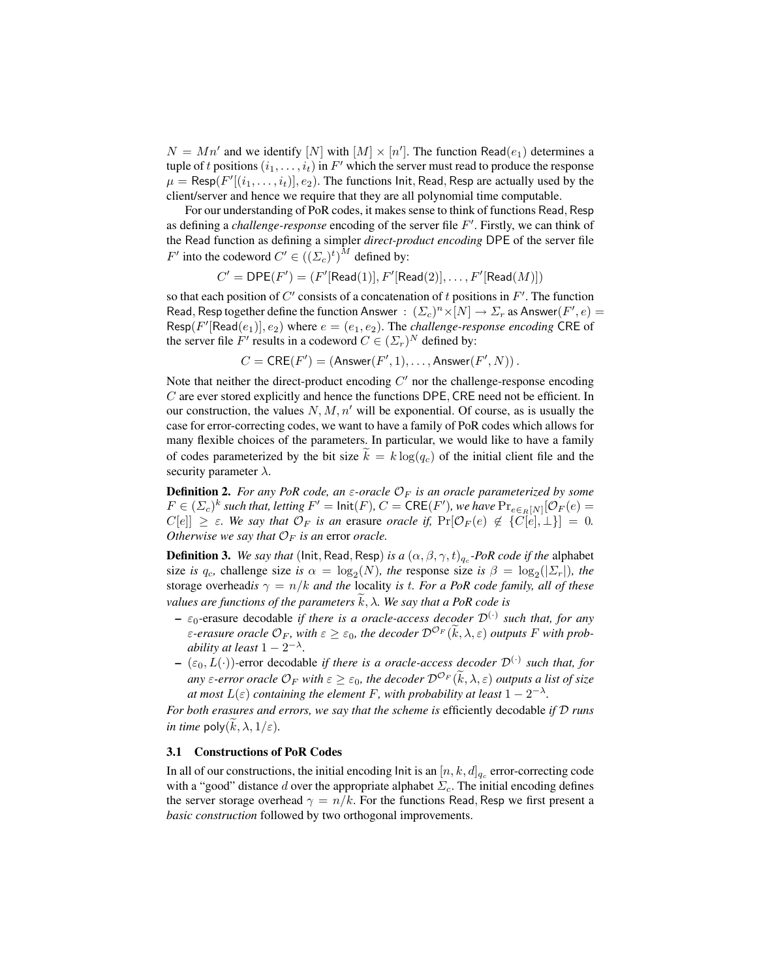$N = Mn'$  and we identify  $[N]$  with  $[M] \times [n']$ . The function Read $(e_1)$  determines a tuple of t positions  $(i_1, \ldots, i_t)$  in  $F'$  which the server must read to produce the response  $\mu = \mathsf{Resp}(F'[(i_1, \ldots, i_t)], e_2)$ . The functions Init, Read, Resp are actually used by the client/server and hence we require that they are all polynomial time computable.

For our understanding of PoR codes, it makes sense to think of functions Read, Resp as defining a *challenge-response* encoding of the server file F'. Firstly, we can think of the Read function as defining a simpler *direct-product encoding* DPE of the server file  $F'$  into the codeword  $C' \in (\left(\Sigma_c\right)^t)^M$  defined by:

$$
C' = \mathsf{DPE}(F') = (F'[\mathsf{Read}(1)], F'[\mathsf{Read}(2)], \dots, F'[\mathsf{Read}(M)])
$$

so that each position of  $C'$  consists of a concatenation of t positions in  $F'$ . The function Read, Resp together define the function Answer :  $(\Sigma_c)^n \times [N] \to \Sigma_r$  as Answer $(F', e) =$  $\textsf{Resp}(F'[\textsf{Read}(e_1)], e_2)$  where  $e = (e_1, e_2)$ . The *challenge-response encoding* CRE of the server file F' results in a codeword  $C \in (\Sigma_r)^N$  defined by:

$$
C = \mathsf{CRE}(F') = (\mathsf{Answer}(F', 1), \dots, \mathsf{Answer}(F', N)).
$$

Note that neither the direct-product encoding  $C'$  nor the challenge-response encoding C are ever stored explicitly and hence the functions DPE, CRE need not be efficient. In our construction, the values  $N, M, n'$  will be exponential. Of course, as is usually the case for error-correcting codes, we want to have a family of PoR codes which allows for many flexible choices of the parameters. In particular, we would like to have a family of codes parameterized by the bit size  $\tilde{k} = k \log(q_c)$  of the initial client file and the security parameter  $\lambda$ .

**Definition 2.** *For any PoR code, an*  $\varepsilon$ *-oracle*  $\mathcal{O}_F$  *is an oracle parameterized by some*  $F \in (\Sigma_c)^k$  such that, letting  $F' = \text{Init}(F)$ ,  $C = \text{CRE}(F')$ , we have  $\Pr_{e \in R[N]}[{\mathcal O}_F(e) =$  $C[e] \geq \varepsilon$ *. We say that*  $\mathcal{O}_F$  *is an erasure oracle if,*  $\Pr[\mathcal{O}_F(e) \notin \{C[e], \bot\}] = 0$ *. Otherwise we say that*  $\mathcal{O}_F$  *is an error oracle.* 

**Definition 3.** *We say that* (Init, Read, Resp) *is a*  $(\alpha, \beta, \gamma, t)_{q_c}$ *-PoR code if the* alphabet size *is*  $q_c$ , challenge size *is*  $\alpha = \log_2(N)$ , *the* response size *is*  $\beta = \log_2(|\Sigma_r|)$ , *the* storage overhead*is*  $\gamma = n/k$  *and the* locality *is t. For a PoR code family, all of these values are functions of the parameters*  $k, \lambda$ *. We say that a PoR code is* 

- $\varepsilon_0$ -erasure decodable *if there is a oracle-access decoder*  $\mathcal{D}^{(\cdot)}$  such that, for any  $\varepsilon$ -erasure oracle  $\mathcal{O}_F$ , with  $\varepsilon \geq \varepsilon_0$ , the decoder  $\mathcal{D}^{\mathcal{O}_F}(\widetilde{k}, \lambda, \varepsilon)$  outputs F with prob*ability at least*  $1 - 2^{-\lambda}$ *.*
- $(\varepsilon_0, L(\cdot))$ -error decodable *if there is a oracle-access decoder*  $\mathcal{D}^{(\cdot)}$  such that, for *any*  $\varepsilon$ -error oracle  $\mathcal{O}_F$  with  $\varepsilon \geq \varepsilon_0$ , the decoder  $\mathcal{D}^{\mathcal{O}_F}(\tilde{k}, \lambda, \varepsilon)$  outputs a list of size *at most*  $L(\varepsilon)$  *containing the element* F, with probability at least  $1 - 2^{-\lambda}$ *.*

*For both erasures and errors, we say that the scheme is* efficiently decodable *if* D *runs in time* poly $(k, \lambda, 1/\varepsilon)$ *.* 

### 3.1 Constructions of PoR Codes

In all of our constructions, the initial encoding lnit is an  $[n,k,d]_{q_c}$  error-correcting code with a "good" distance d over the appropriate alphabet  $\Sigma_c$ . The initial encoding defines the server storage overhead  $\gamma = n/k$ . For the functions Read, Resp we first present a *basic construction* followed by two orthogonal improvements.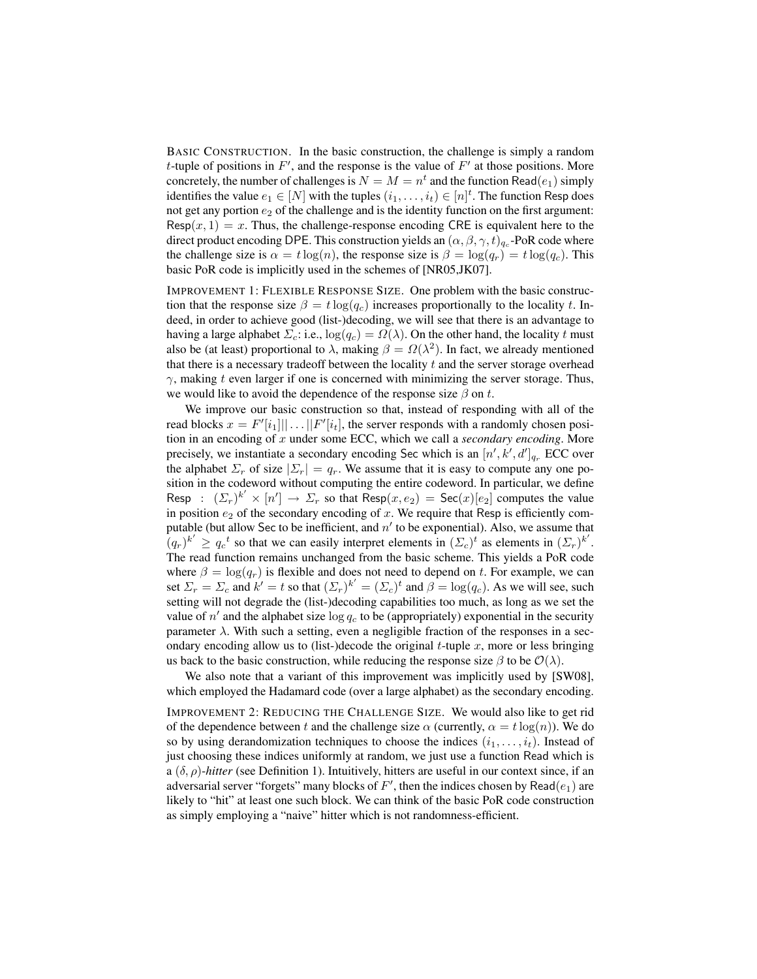BASIC CONSTRUCTION. In the basic construction, the challenge is simply a random t-tuple of positions in  $F'$ , and the response is the value of  $F'$  at those positions. More concretely, the number of challenges is  $N = M = n^t$  and the function  $\mathsf{Read}(e_1)$  simply identifies the value  $e_1 \in [N]$  with the tuples  $(i_1, \ldots, i_t) \in [n]^t$ . The function Resp does not get any portion  $e_2$  of the challenge and is the identity function on the first argument:  $Resp(x, 1) = x$ . Thus, the challenge-response encoding CRE is equivalent here to the direct product encoding DPE. This construction yields an  $(\alpha, \beta, \gamma, t)_{q_c}$ -PoR code where the challenge size is  $\alpha = t \log(n)$ , the response size is  $\beta = \log(q_r) = t \log(q_c)$ . This basic PoR code is implicitly used in the schemes of [NR05,JK07].

IMPROVEMENT 1: FLEXIBLE RESPONSE SIZE. One problem with the basic construction that the response size  $\beta = t \log(q_c)$  increases proportionally to the locality t. Indeed, in order to achieve good (list-)decoding, we will see that there is an advantage to having a large alphabet  $\Sigma_c$ : i.e.,  $\log(q_c) = \Omega(\lambda)$ . On the other hand, the locality t must also be (at least) proportional to  $\lambda$ , making  $\beta = \Omega(\lambda^2)$ . In fact, we already mentioned that there is a necessary tradeoff between the locality  $t$  and the server storage overhead  $\gamma$ , making t even larger if one is concerned with minimizing the server storage. Thus, we would like to avoid the dependence of the response size  $\beta$  on t.

We improve our basic construction so that, instead of responding with all of the read blocks  $x = F'[i_1] \mid \dots \mid F'[i_t]$ , the server responds with a randomly chosen position in an encoding of x under some ECC, which we call a *secondary encoding*. More precisely, we instantiate a secondary encoding Sec which is an  $[n', k', d']_{q_r}$  ECC over the alphabet  $\Sigma_r$  of size  $|\Sigma_r| = q_r$ . We assume that it is easy to compute any one position in the codeword without computing the entire codeword. In particular, we define Resp :  $(\Sigma_r)^{k'} \times [n'] \to \Sigma_r$  so that  $\text{Resp}(x, e_2) = \text{Sec}(x)[e_2]$  computes the value in position  $e_2$  of the secondary encoding of x. We require that Resp is efficiently computable (but allow Sec to be inefficient, and  $n'$  to be exponential). Also, we assume that  $(q_r)^{k'} \geq q_c^t$  so that we can easily interpret elements in  $(\Sigma_c)^t$  as elements in  $(\Sigma_r)^{k'}$ . The read function remains unchanged from the basic scheme. This yields a PoR code where  $\beta = \log(q_r)$  is flexible and does not need to depend on t. For example, we can set  $\Sigma_r = \Sigma_c$  and  $k' = t$  so that  $(\Sigma_r)^{k'} = (\Sigma_c)^t$  and  $\beta = \log(q_c)$ . As we will see, such setting will not degrade the (list-)decoding capabilities too much, as long as we set the value of  $n'$  and the alphabet size  $\log q_c$  to be (appropriately) exponential in the security parameter  $\lambda$ . With such a setting, even a negligible fraction of the responses in a secondary encoding allow us to (list-)decode the original  $t$ -tuple  $x$ , more or less bringing us back to the basic construction, while reducing the response size  $\beta$  to be  $\mathcal{O}(\lambda)$ .

We also note that a variant of this improvement was implicitly used by [SW08], which employed the Hadamard code (over a large alphabet) as the secondary encoding.

IMPROVEMENT 2: REDUCING THE CHALLENGE SIZE. We would also like to get rid of the dependence between t and the challenge size  $\alpha$  (currently,  $\alpha = t \log(n)$ ). We do so by using derandomization techniques to choose the indices  $(i_1, \ldots, i_t)$ . Instead of just choosing these indices uniformly at random, we just use a function Read which is a  $(\delta, \rho)$ -*hitter* (see Definition 1). Intuitively, hitters are useful in our context since, if an adversarial server "forgets" many blocks of  $F'$ , then the indices chosen by Read $(e_1)$  are likely to "hit" at least one such block. We can think of the basic PoR code construction as simply employing a "naive" hitter which is not randomness-efficient.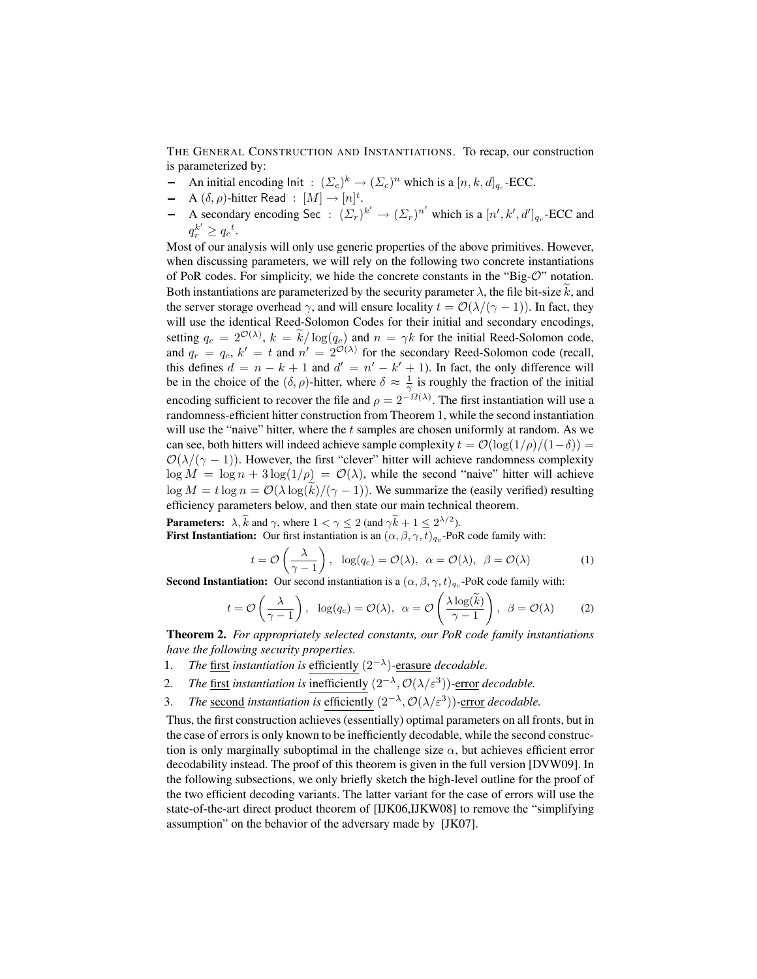THE GENERAL CONSTRUCTION AND INSTANTIATIONS. To recap, our construction is parameterized by:

- An initial encoding lnit  $\colon (\Sigma_c)^k \to (\Sigma_c)^n$  which is a  $[n, k, d]_{q_c}$ -ECC.
- A  $(\delta, \rho)$ -hitter Read :  $[M] \rightarrow [n]^t$ .
- A secondary encoding Sec :  $(\Sigma_r)^{k'} \to (\Sigma_r)^{n'}$  which is a  $[n', k', d']_{q_r}$ -ECC and  $q_r^{k'} \geq q_c^{t}.$

Most of our analysis will only use generic properties of the above primitives. However, when discussing parameters, we will rely on the following two concrete instantiations of PoR codes. For simplicity, we hide the concrete constants in the "Big-O" notation. Both instantiations are parameterized by the security parameter  $\lambda$ , the file bit-size k, and the server storage overhead  $\gamma$ , and will ensure locality  $t = \mathcal{O}(\lambda/(\gamma - 1))$ . In fact, they will use the identical Reed-Solomon Codes for their initial and secondary encodings, setting  $q_c = 2^{\mathcal{O}(\lambda)}$ ,  $k = \tilde{k} / \log(q_c)$  and  $n = \gamma k$  for the initial Reed-Solomon code, and  $q_r = q_c$ ,  $k' = t$  and  $n' = 2^{\mathcal{O}(\lambda)}$  for the secondary Reed-Solomon code (recall, this defines  $d = n - k + 1$  and  $d' = n' - k' + 1$ ). In fact, the only difference will be in the choice of the  $(\delta, \rho)$ -hitter, where  $\delta \approx \frac{1}{\gamma}$  is roughly the fraction of the initial encoding sufficient to recover the file and  $\rho = 2^{-\Omega(\lambda)}$ . The first instantiation will use a randomness-efficient hitter construction from Theorem 1, while the second instantiation will use the "naive" hitter, where the t samples are chosen uniformly at random. As we can see, both hitters will indeed achieve sample complexity  $t = \mathcal{O}(\log(1/\rho)/(1-\delta))$  =  $\mathcal{O}(\lambda/(\gamma-1))$ . However, the first "clever" hitter will achieve randomness complexity  $\log M = \log n + 3 \log(1/\rho) = \mathcal{O}(\lambda)$ , while the second "naive" hitter will achieve  $\log M = t \log n = \mathcal{O}(\lambda \log(k)/(\gamma - 1))$ . We summarize the (easily verified) resulting efficiency parameters below, and then state our main technical theorem.

**Parameters:**  $\lambda, \tilde{k}$  and  $\gamma$ , where  $1 < \gamma \le 2$  (and  $\gamma \tilde{k} + 1 \le 2^{\lambda/2}$ ). **First Instantiation:** Our first instantiation is an  $(\alpha, \beta, \gamma, t)_{q_c}$ -PoR code family with:

$$
t = \mathcal{O}\left(\frac{\lambda}{\gamma - 1}\right), \quad \log(q_c) = \mathcal{O}(\lambda), \quad \alpha = \mathcal{O}(\lambda), \quad \beta = \mathcal{O}(\lambda) \tag{1}
$$

**Second Instantiation:** Our second instantiation is a  $(\alpha, \beta, \gamma, t)_{q_c}$ -PoR code family with:

$$
t = \mathcal{O}\left(\frac{\lambda}{\gamma - 1}\right), \quad \log(q_c) = \mathcal{O}(\lambda), \quad \alpha = \mathcal{O}\left(\frac{\lambda \log(\widetilde{k})}{\gamma - 1}\right), \quad \beta = \mathcal{O}(\lambda) \tag{2}
$$

Theorem 2. *For appropriately selected constants, our PoR code family instantiations have the following security properties.*

- 1. *The* first *instantiation is* efficiently  $(2^{-\lambda})$ -erasure *decodable*.
- 2. *The first instantiation is inefficiently*  $(2^{-\lambda}, \mathcal{O}(\lambda/\varepsilon^3))$ -error *decodable.*
- 3. *The* second *instantiation is* efficiently  $(2^{-\lambda}, \mathcal{O}(\lambda/\varepsilon^3))$ -error *decodable.*

Thus, the first construction achieves (essentially) optimal parameters on all fronts, but in the case of errors is only known to be inefficiently decodable, while the second construction is only marginally suboptimal in the challenge size  $\alpha$ , but achieves efficient error decodability instead. The proof of this theorem is given in the full version [DVW09]. In the following subsections, we only briefly sketch the high-level outline for the proof of the two efficient decoding variants. The latter variant for the case of errors will use the state-of-the-art direct product theorem of [IJK06,IJKW08] to remove the "simplifying assumption" on the behavior of the adversary made by [JK07].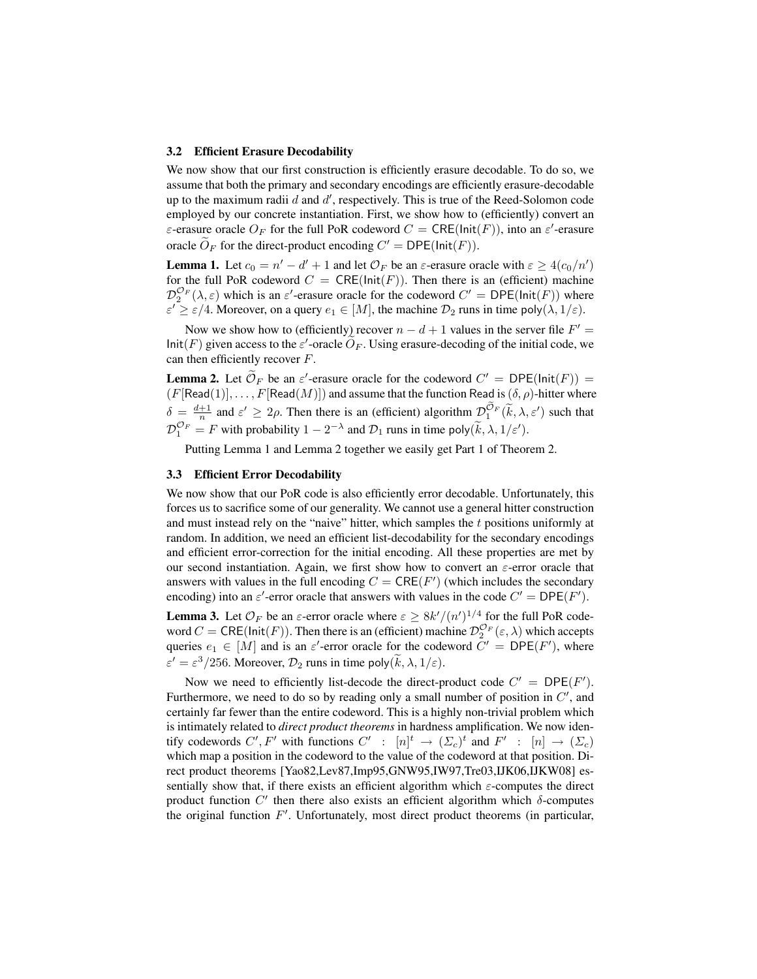#### 3.2 Efficient Erasure Decodability

We now show that our first construction is efficiently erasure decodable. To do so, we assume that both the primary and secondary encodings are efficiently erasure-decodable up to the maximum radii  $d$  and  $d'$ , respectively. This is true of the Reed-Solomon code employed by our concrete instantiation. First, we show how to (efficiently) convert an  $\varepsilon$ -erasure oracle  $O_F$  for the full PoR codeword  $C = \text{CRE}(\text{Init}(F))$ , into an  $\varepsilon'$ -erasure oracle  $\widetilde{O}_F$  for the direct-product encoding  $C' = \mathsf{DPE}(\mathsf{Init}(F)).$ 

**Lemma 1.** Let  $c_0 = n' - d' + 1$  and let  $\mathcal{O}_F$  be an  $\varepsilon$ -erasure oracle with  $\varepsilon \geq 4(c_0/n')$ for the full PoR codeword  $C = \text{CRE}(\text{Init}(F))$ . Then there is an (efficient) machine  $\mathcal{D}_2^{\mathcal{O}_F}(\lambda,\varepsilon)$  which is an  $\varepsilon'$ -erasure oracle for the codeword  $C' = \mathsf{DPE}(\mathsf{Init}(F))$  where  $\varepsilon' \ge \varepsilon/4$ . Moreover, on a query  $e_1 \in [M]$ , the machine  $\mathcal{D}_2$  runs in time poly $(\lambda, 1/\varepsilon)$ .

Now we show how to (efficiently) recover  $n - d + 1$  values in the server file  $F' =$ lnit(F) given access to the  $\varepsilon'$ -oracle  $\widetilde{O}_F$ . Using erasure-decoding of the initial code, we can then efficiently recover F.

**Lemma 2.** Let  $\mathcal{O}_F$  be an  $\varepsilon'$ -erasure oracle for the codeword  $C' = \text{DPE}(\text{Init}(F)) =$  $(F[\text{Read}(1)], \ldots, F[\text{Read}(M)])$  and assume that the function Read is  $(\delta, \rho)$ -hitter where  $\delta = \frac{d+1}{n}$  and  $\varepsilon' \ge 2\rho$ . Then there is an (efficient) algorithm  $\mathcal{D}^{\mathcal{O}_F}_1(\tilde{k}, \lambda, \varepsilon')$  such that  $\mathcal{D}_1^{\mathcal{O}_F} = F$  with probability  $1 - 2^{-\lambda}$  and  $\mathcal{D}_1$  runs in time poly $(\widetilde{k}, \lambda, 1/\varepsilon')$ .

Putting Lemma 1 and Lemma 2 together we easily get Part 1 of Theorem 2.

### 3.3 Efficient Error Decodability

We now show that our PoR code is also efficiently error decodable. Unfortunately, this forces us to sacrifice some of our generality. We cannot use a general hitter construction and must instead rely on the "naive" hitter, which samples the  $t$  positions uniformly at random. In addition, we need an efficient list-decodability for the secondary encodings and efficient error-correction for the initial encoding. All these properties are met by our second instantiation. Again, we first show how to convert an  $\varepsilon$ -error oracle that answers with values in the full encoding  $C = \text{CRE}(F')$  (which includes the secondary encoding) into an  $\varepsilon'$ -error oracle that answers with values in the code  $C' = \text{DPE}(F')$ .

**Lemma 3.** Let  $\mathcal{O}_F$  be an  $\varepsilon$ -error oracle where  $\varepsilon \geq 8k'/(n')^{1/4}$  for the full PoR codeword  $C = \mathsf{CRE}(\mathsf{Init}(F))$ . Then there is an (efficient) machine  $\mathcal{D}_2^{\mathcal{O}_F}(\varepsilon, \lambda)$  which accepts queries  $e_1 \in [M]$  and is an  $\varepsilon'$ -error oracle for the codeword  $C' = \text{DPE}(F')$ , where  $\varepsilon' = \varepsilon^3/256$ . Moreover,  $\mathcal{D}_2$  runs in time poly $(\tilde{k}, \lambda, 1/\varepsilon)$ .

Now we need to efficiently list-decode the direct-product code  $C' = \text{DPE}(F')$ . Furthermore, we need to do so by reading only a small number of position in  $C'$ , and certainly far fewer than the entire codeword. This is a highly non-trivial problem which is intimately related to *direct product theorems* in hardness amplification. We now identify codewords  $C', F'$  with functions  $C'$ :  $[n]^t \to (\Sigma_c)^t$  and  $F'$ :  $[n] \to (\Sigma_c)$ which map a position in the codeword to the value of the codeword at that position. Direct product theorems [Yao82,Lev87,Imp95,GNW95,IW97,Tre03,IJK06,IJKW08] essentially show that, if there exists an efficient algorithm which  $\varepsilon$ -computes the direct product function  $C'$  then there also exists an efficient algorithm which  $\delta$ -computes the original function  $F'$ . Unfortunately, most direct product theorems (in particular,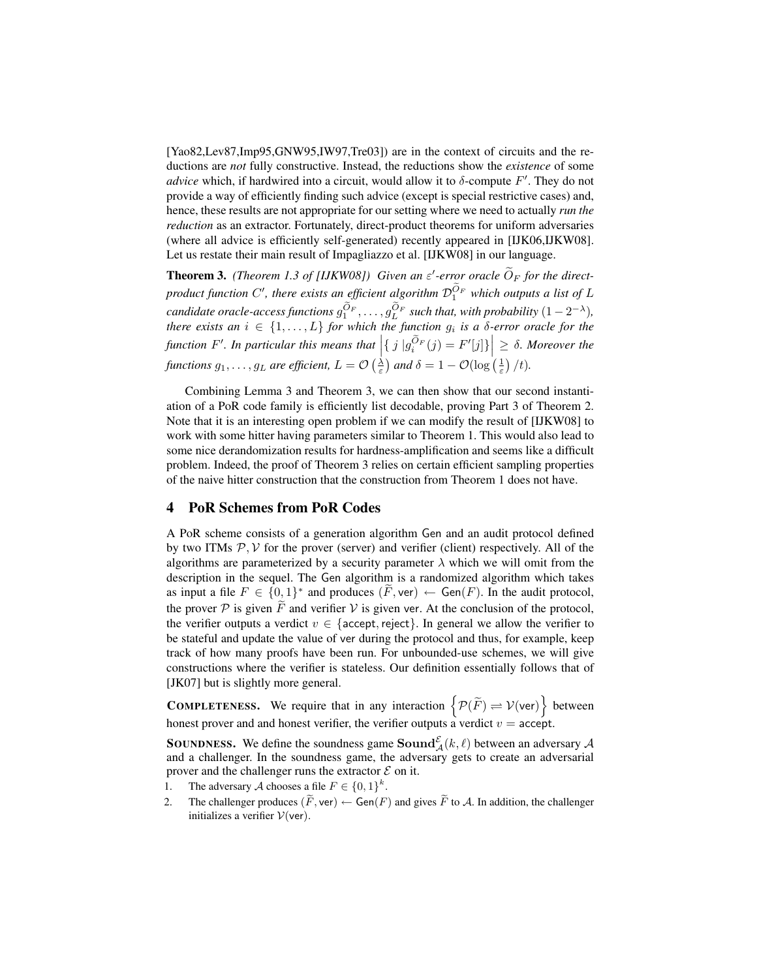[Yao82,Lev87,Imp95,GNW95,IW97,Tre03]) are in the context of circuits and the reductions are *not* fully constructive. Instead, the reductions show the *existence* of some *advice* which, if hardwired into a circuit, would allow it to  $\delta$ -compute  $F'$ . They do not provide a way of efficiently finding such advice (except is special restrictive cases) and, hence, these results are not appropriate for our setting where we need to actually *run the reduction* as an extractor. Fortunately, direct-product theorems for uniform adversaries (where all advice is efficiently self-generated) recently appeared in [IJK06,IJKW08]. Let us restate their main result of Impagliazzo et al. [IJKW08] in our language.

**Theorem 3.** *(Theorem 1.3 of [IJKW08])* Given an  $\varepsilon'$ -error oracle  $\widetilde{O}_F$  for the directproduct function  $C'$ , there exists an efficient algorithm  $\mathcal{D}_1^{O_F}$  which outputs a list of  $L$  $c$ *andidate oracle-access functions*  $g_1^{O_F}, \ldots, g_L^{O_F}$  *such that, with probability*  $(1-2^{-\lambda}),$ *there exists an*  $i \in \{1, \ldots, L\}$  for which the function  $g_i$  is a  $\delta$ -error oracle for the  $\mathcal{L}$  *function*  $F'$ *. In particular this means that*  $\left| \left\{ j \left| g_i^{\tilde{O}_F}(j) = F'[j] \right\} \right| \geq \delta$ *. Moreover the functions*  $g_1, \ldots, g_L$  *are efficient,*  $L = \mathcal{O}\left(\frac{\lambda}{\varepsilon}\right)$  *and*  $\delta = 1 - \mathcal{O}(\log\left(\frac{1}{\varepsilon}\right)/t)$ *.* 

Combining Lemma 3 and Theorem 3, we can then show that our second instantiation of a PoR code family is efficiently list decodable, proving Part 3 of Theorem 2. Note that it is an interesting open problem if we can modify the result of [IJKW08] to work with some hitter having parameters similar to Theorem 1. This would also lead to some nice derandomization results for hardness-amplification and seems like a difficult problem. Indeed, the proof of Theorem 3 relies on certain efficient sampling properties of the naive hitter construction that the construction from Theorem 1 does not have.

# 4 PoR Schemes from PoR Codes

A PoR scheme consists of a generation algorithm Gen and an audit protocol defined by two ITMs  $P, V$  for the prover (server) and verifier (client) respectively. All of the algorithms are parameterized by a security parameter  $\lambda$  which we will omit from the description in the sequel. The Gen algorithm is a randomized algorithm which takes as input a file  $F \in \{0,1\}^*$  and produces  $(F, \text{ver}) \leftarrow \text{Gen}(F)$ . In the audit protocol, the prover  $\tilde{P}$  is given  $\tilde{F}$  and verifier V is given ver. At the conclusion of the protocol, the verifier outputs a verdict  $v \in \{ \text{accept}, \text{reject} \}$ . In general we allow the verifier to be stateful and update the value of ver during the protocol and thus, for example, keep track of how many proofs have been run. For unbounded-use schemes, we will give constructions where the verifier is stateless. Our definition essentially follows that of [JK07] but is slightly more general.

**COMPLETENESS.** We require that in any interaction  $\left\{\mathcal{P}(\widetilde{F}) \right\} \right. \rightleftharpoons \mathcal{V}(\text{ver})\left\}$  between honest prover and and honest verifier, the verifier outputs a verdict  $v =$  accept.

**SOUNDNESS.** We define the soundness game  $\text{Sound}^{\mathcal{E}}_{\mathcal{A}}(k, \ell)$  between an adversary  $\mathcal{A}$ and a challenger. In the soundness game, the adversary gets to create an adversarial prover and the challenger runs the extractor  $\mathcal E$  on it.

- 1. The adversary A chooses a file  $F \in \{0,1\}^k$ .
- 2. The challenger produces  $(\widetilde{F}, \text{ver}) \leftarrow \text{Gen}(F)$  and gives  $\widetilde{F}$  to A. In addition, the challenger initializes a verifier  $V(\text{ver})$ .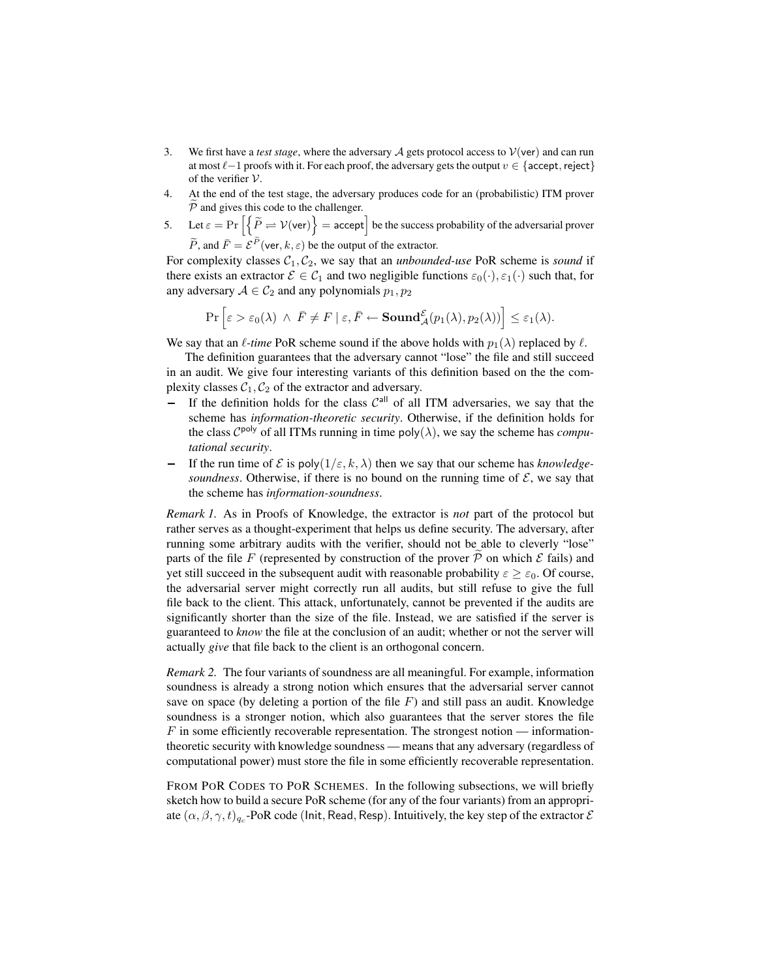- 3. We first have a *test stage*, where the adversary  $\mathcal A$  gets protocol access to  $\mathcal V$ (ver) and can run at most  $\ell-1$  proofs with it. For each proof, the adversary gets the output  $v \in \{\text{accept}, \text{reject}\}\$ of the verifier  $V$ .
- 4. At the end of the test stage, the adversary produces code for an (probabilistic) ITM prover  $P$  and gives this code to the challenger.
- 5. Let  $\varepsilon = \Pr\left[\left\{\widetilde{P} \right\} \right] = \text{accept}\right]$  be the success probability of the adversarial prover  $\widetilde{P}$ , and  $\overline{F} = \mathcal{E}^{\overline{P}}(\textsf{ver}, k, \varepsilon)$  be the output of the extractor.

For complexity classes  $C_1, C_2$ , we say that an *unbounded-use* PoR scheme is *sound* if there exists an extractor  $\mathcal{E} \in \mathcal{C}_1$  and two negligible functions  $\varepsilon_0(\cdot), \varepsilon_1(\cdot)$  such that, for any adversary  $A \in C_2$  and any polynomials  $p_1, p_2$ 

 $\Pr\left[\varepsilon > \varepsilon_0(\lambda) \;\wedge\; \bar{F} \neq F \;|\; \varepsilon, \bar{F} \leftarrow \mathbf{Sound}^{\mathcal{E}}_{\mathcal{A}}(p_1(\lambda), p_2(\lambda)) \right] \leq \varepsilon_1(\lambda).$ 

We say that an  $\ell$ -time PoR scheme sound if the above holds with  $p_1(\lambda)$  replaced by  $\ell$ .

The definition guarantees that the adversary cannot "lose" the file and still succeed in an audit. We give four interesting variants of this definition based on the the complexity classes  $C_1$ ,  $C_2$  of the extractor and adversary.

- If the definition holds for the class  $C<sup>all</sup>$  of all ITM adversaries, we say that the scheme has *information-theoretic security*. Otherwise, if the definition holds for the class  $C^{poly}$  of all ITMs running in time  $poly(\lambda)$ , we say the scheme has *computational security*.
- If the run time of  $\mathcal E$  is  $poly(1/\varepsilon, k, \lambda)$  then we say that our scheme has *knowledgesoundness*. Otherwise, if there is no bound on the running time of  $\mathcal{E}$ , we say that the scheme has *information-soundness*.

*Remark 1.* As in Proofs of Knowledge, the extractor is *not* part of the protocol but rather serves as a thought-experiment that helps us define security. The adversary, after running some arbitrary audits with the verifier, should not be able to cleverly "lose" parts of the file F (represented by construction of the prover  $\tilde{\mathcal{P}}$  on which  $\mathcal{E}$  fails) and yet still succeed in the subsequent audit with reasonable probability  $\varepsilon \geq \varepsilon_0$ . Of course, the adversarial server might correctly run all audits, but still refuse to give the full file back to the client. This attack, unfortunately, cannot be prevented if the audits are significantly shorter than the size of the file. Instead, we are satisfied if the server is guaranteed to *know* the file at the conclusion of an audit; whether or not the server will actually *give* that file back to the client is an orthogonal concern.

*Remark 2.* The four variants of soundness are all meaningful. For example, information soundness is already a strong notion which ensures that the adversarial server cannot save on space (by deleting a portion of the file  $F$ ) and still pass an audit. Knowledge soundness is a stronger notion, which also guarantees that the server stores the file  $F$  in some efficiently recoverable representation. The strongest notion — informationtheoretic security with knowledge soundness — means that any adversary (regardless of computational power) must store the file in some efficiently recoverable representation.

FROM POR CODES TO POR SCHEMES. In the following subsections, we will briefly sketch how to build a secure PoR scheme (for any of the four variants) from an appropriate  $(\alpha,\beta,\gamma,t)_{q_c}$ -PoR code (Init, Read, Resp). Intuitively, the key step of the extractor  ${\cal E}$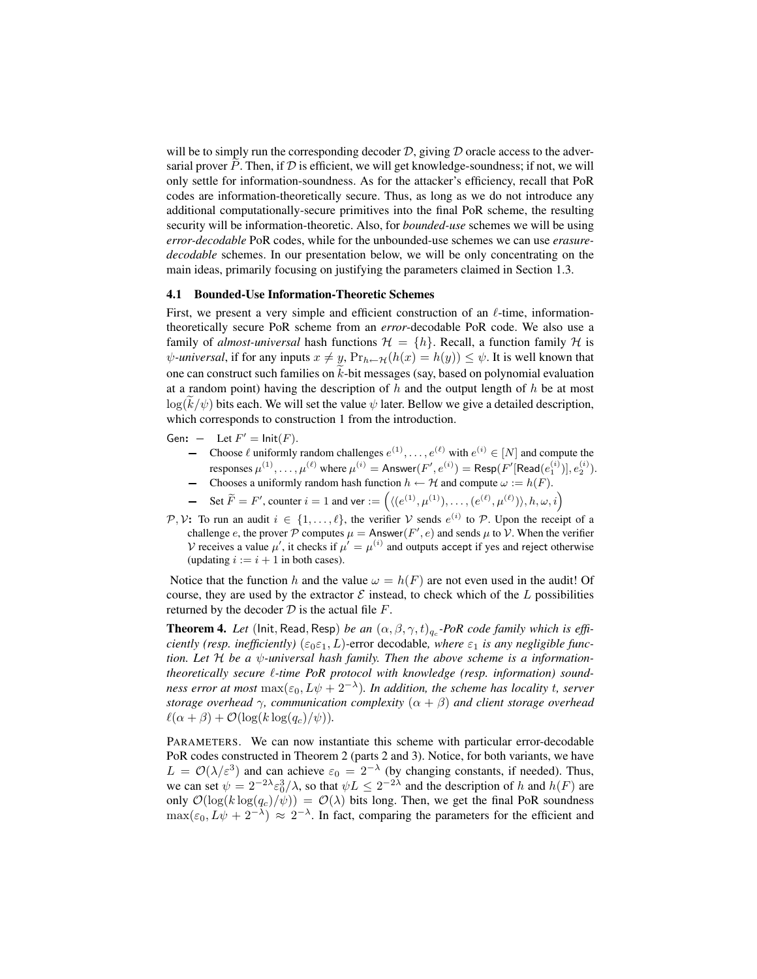will be to simply run the corresponding decoder  $D$ , giving  $D$  oracle access to the adversarial prover P. Then, if  $D$  is efficient, we will get knowledge-soundness; if not, we will only settle for information-soundness. As for the attacker's efficiency, recall that PoR codes are information-theoretically secure. Thus, as long as we do not introduce any additional computationally-secure primitives into the final PoR scheme, the resulting security will be information-theoretic. Also, for *bounded-use* schemes we will be using *error-decodable* PoR codes, while for the unbounded-use schemes we can use *erasuredecodable* schemes. In our presentation below, we will be only concentrating on the main ideas, primarily focusing on justifying the parameters claimed in Section 1.3.

### 4.1 Bounded-Use Information-Theoretic Schemes

First, we present a very simple and efficient construction of an  $\ell$ -time, informationtheoretically secure PoR scheme from an *error*-decodable PoR code. We also use a family of *almost-universal* hash functions  $\mathcal{H} = \{h\}$ . Recall, a function family H is  $\psi$ *-universal*, if for any inputs  $x \neq y$ ,  $Pr_{h \leftarrow H}(h(x) = h(y)) \leq \psi$ . It is well known that one can construct such families on  $k$ -bit messages (say, based on polynomial evaluation at a random point) having the description of  $h$  and the output length of  $h$  be at most  $log(k/\psi)$  bits each. We will set the value  $\psi$  later. Bellow we give a detailed description, which corresponds to construction 1 from the introduction.

Gen:  $-$  Let  $F' = \text{Init}(F)$ .

- Choose  $\ell$  uniformly random challenges  $e^{(1)}, \ldots, e^{(\ell)}$  with  $e^{(i)} \in [N]$  and compute the responses  $\mu^{(1)},\ldots,\mu^{(\ell)}$  where  $\mu^{(i)} = \mathsf{Answer}(F',e^{(i)}) = \mathsf{Resp}(F'[\mathsf{Read}(e_1^{(i)})],e_2^{(i)}).$ Chooses a uniformly random hash function  $h \leftarrow H$  and compute  $\omega := h(F)$ .
- Set  $\widetilde{F} = F'$ , counter  $i = 1$  and ver  $:= \left( \langle (e^{(1)}, \mu^{(1)}), \dots, (e^{(\ell)}, \mu^{(\ell)}) \rangle, h, \omega, i \right)$
- P, V: To run an audit  $i \in \{1, \ldots, \ell\}$ , the verifier V sends  $e^{(i)}$  to P. Upon the receipt of a challenge e, the prover  $P$  computes  $\mu =$  Answer $(F', e)$  and sends  $\mu$  to  $\mathcal V$ . When the verifier V receives a value  $\mu'$ , it checks if  $\mu' = \mu^{(i)}$  and outputs accept if yes and reject otherwise (updating  $i := i + 1$  in both cases).

Notice that the function h and the value  $\omega = h(F)$  are not even used in the audit! Of course, they are used by the extractor  $\mathcal E$  instead, to check which of the  $L$  possibilities returned by the decoder  $D$  is the actual file  $F$ .

**Theorem 4.** Let (lnit, Read, Resp) *be an*  $(\alpha, \beta, \gamma, t)_{q_c}$ -PoR code family which is effi*ciently (resp. inefficiently)* ( $\varepsilon_0 \varepsilon_1$ , L)-error decodable, where  $\varepsilon_1$  *is any negligible function. Let*  $H$  *be a*  $\psi$ *-universal hash family. Then the above scheme is a informationtheoretically secure*  $\ell$ *-time PoR protocol with knowledge (resp. information) soundness error at most*  $\max(\varepsilon_0, L\psi + 2^{-\lambda})$ . In addition, the scheme has locality t, server *storage overhead*  $\gamma$ *, communication complexity*  $(\alpha + \beta)$  *and client storage overhead*  $\ell(\alpha + \beta) + \mathcal{O}(\log(k \log(q_c)/\psi)).$ 

PARAMETERS. We can now instantiate this scheme with particular error-decodable PoR codes constructed in Theorem 2 (parts 2 and 3). Notice, for both variants, we have  $L = \mathcal{O}(\lambda/\varepsilon^3)$  and can achieve  $\varepsilon_0 = 2^{-\lambda}$  (by changing constants, if needed). Thus, we can set  $\psi = 2^{-2\lambda} \varepsilon_0^3/\lambda$ , so that  $\psi L \le 2^{-2\lambda}$  and the description of h and  $h(F)$  are only  $\mathcal{O}(\log(k \log(q_c)/\psi)) = \mathcal{O}(\lambda)$  bits long. Then, we get the final PoR soundness  $\max(\varepsilon_0, L\psi + 2^{-\lambda}) \approx 2^{-\lambda}$ . In fact, comparing the parameters for the efficient and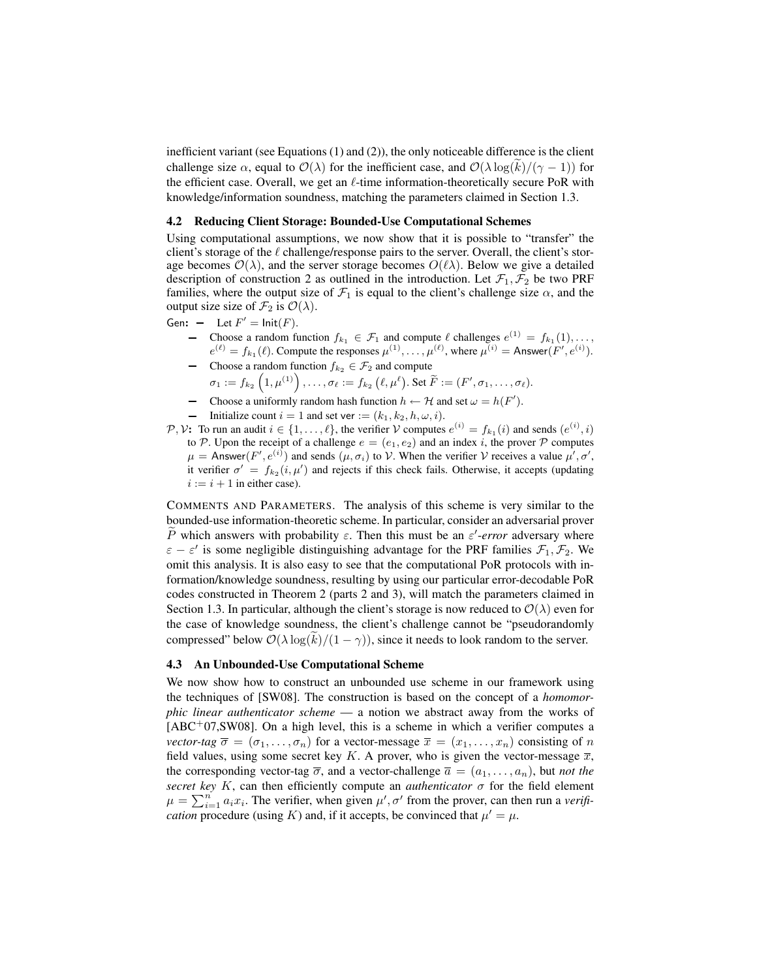inefficient variant (see Equations (1) and (2)), the only noticeable difference is the client challenge size  $\alpha$ , equal to  $\mathcal{O}(\lambda)$  for the inefficient case, and  $\mathcal{O}(\lambda \log(k)/(\gamma - 1))$  for the efficient case. Overall, we get an  $\ell$ -time information-theoretically secure PoR with knowledge/information soundness, matching the parameters claimed in Section 1.3.

#### 4.2 Reducing Client Storage: Bounded-Use Computational Schemes

Using computational assumptions, we now show that it is possible to "transfer" the client's storage of the  $\ell$  challenge/response pairs to the server. Overall, the client's storage becomes  $\mathcal{O}(\lambda)$ , and the server storage becomes  $O(\ell\lambda)$ . Below we give a detailed description of construction 2 as outlined in the introduction. Let  $\mathcal{F}_1, \mathcal{F}_2$  be two PRF families, where the output size of  $\mathcal{F}_1$  is equal to the client's challenge size  $\alpha$ , and the output size size of  $\mathcal{F}_2$  is  $\mathcal{O}(\lambda)$ .

Gen:  $-$  Let  $F' = \text{Init}(F)$ .

- Choose a random function  $f_{k_1} \in \mathcal{F}_1$  and compute  $\ell$  challenges  $e^{(1)} = f_{k_1}(1), \ldots$ ,  $e^{(\ell)} = f_{k_1}(\ell)$ . Compute the responses  $\mu^{(1)}, \dots, \mu^{(\ell)}$ , where  $\mu^{(i)} =$  Answer $(F', e^{(i)})$ . Choose a random function  $f_{k_2} \in \mathcal{F}_2$  and compute
- 
- $\sigma_1:=f_{k_2}\left(1,\mu^{(1)}\right),\ldots,\sigma_\ell:=f_{k_2}\left(\ell,\mu^\ell\right)\!.\,\text{Set}\,\widetilde{F}:=(F',\sigma_1,\ldots,\sigma_\ell).$ Choose a uniformly random hash function  $h \leftarrow H$  and set  $\omega = h(F')$ .
- Initialize count  $i = 1$  and set ver  $:=(k_1, k_2, h, \omega, i)$ .
- P, V: To run an audit  $i \in \{1, ..., \ell\}$ , the verifier V computes  $e^{(i)} = f_{k_1}(i)$  and sends  $(e^{(i)}, i)$ to P. Upon the receipt of a challenge  $e = (e_1, e_2)$  and an index i, the prover P computes  $\mu =$  Answer(F',  $e^{(i)}$ ) and sends ( $\mu, \sigma_i$ ) to V. When the verifier V receives a value  $\mu', \sigma',$ it verifier  $\sigma' = f_{k_2}(i, \mu')$  and rejects if this check fails. Otherwise, it accepts (updating  $i := i + 1$  in either case).

COMMENTS AND PARAMETERS. The analysis of this scheme is very similar to the bounded-use information-theoretic scheme. In particular, consider an adversarial prover  $\widetilde{P}$  which answers with probability  $\varepsilon$ . Then this must be an  $\varepsilon'$ -error adversary where  $\varepsilon - \varepsilon'$  is some negligible distinguishing advantage for the PRF families  $\mathcal{F}_1, \mathcal{F}_2$ . We omit this analysis. It is also easy to see that the computational PoR protocols with information/knowledge soundness, resulting by using our particular error-decodable PoR codes constructed in Theorem 2 (parts 2 and 3), will match the parameters claimed in Section 1.3. In particular, although the client's storage is now reduced to  $\mathcal{O}(\lambda)$  even for the case of knowledge soundness, the client's challenge cannot be "pseudorandomly compressed" below  $\mathcal{O}(\lambda \log(k)/(1 - \gamma))$ , since it needs to look random to the server.

### 4.3 An Unbounded-Use Computational Scheme

We now show how to construct an unbounded use scheme in our framework using the techniques of [SW08]. The construction is based on the concept of a *homomorphic linear authenticator scheme* — a notion we abstract away from the works of  $[ABC<sup>+</sup>07,SW08]$ . On a high level, this is a scheme in which a verifier computes a *vector-tag*  $\overline{\sigma} = (\sigma_1, \ldots, \sigma_n)$  for a vector-message  $\overline{x} = (x_1, \ldots, x_n)$  consisting of n field values, using some secret key K. A prover, who is given the vector-message  $\overline{x}$ , the corresponding vector-tag  $\overline{\sigma}$ , and a vector-challenge  $\overline{a} = (a_1, \ldots, a_n)$ , but *not the secret key K*, can then efficiently compute an *authenticator*  $\sigma$  for the field element  $\mu = \sum_{i=1}^{n} a_i x_i$ . The verifier, when given  $\mu', \sigma'$  from the prover, can then run a *verification* procedure (using K) and, if it accepts, be convinced that  $\mu' = \mu$ .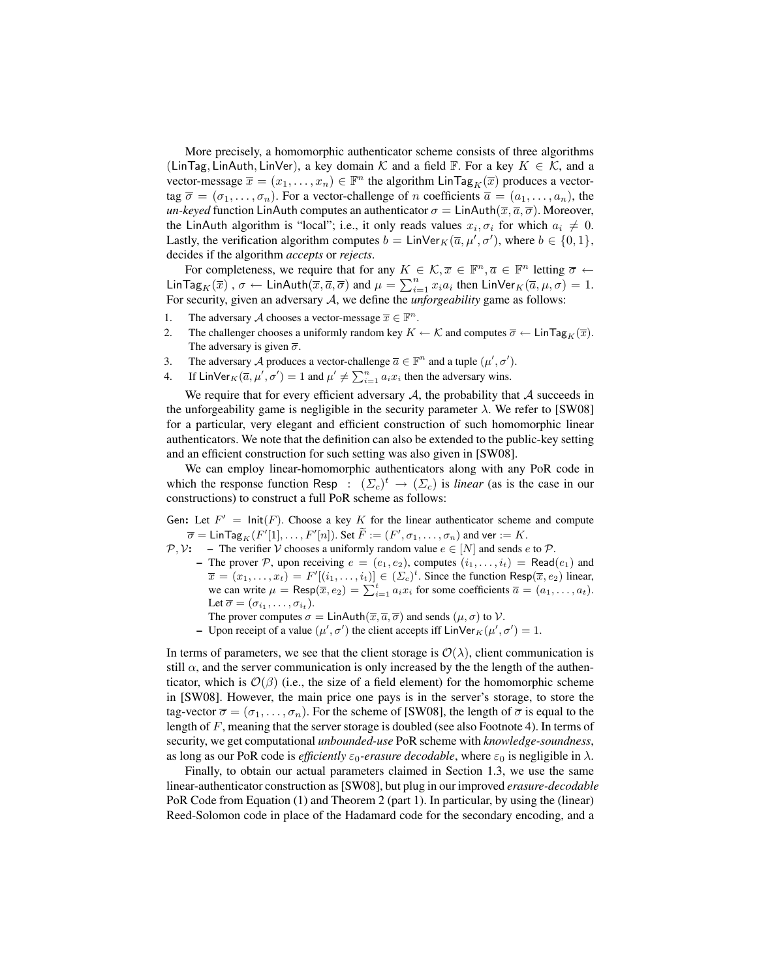More precisely, a homomorphic authenticator scheme consists of three algorithms (LinTag, LinAuth, LinVer), a key domain K and a field  $\mathbb{F}$ . For a key  $K \in \mathcal{K}$ , and a vector-message  $\bar{x} = (x_1, \ldots, x_n) \in \mathbb{F}^n$  the algorithm LinTag $_K(\bar{x})$  produces a vectortag  $\overline{\sigma} = (\sigma_1, \ldots, \sigma_n)$ . For a vector-challenge of n coefficients  $\overline{a} = (a_1, \ldots, a_n)$ , the *un-keyed* function LinAuth computes an authenticator  $\sigma = \text{LinAuth}(\overline{x}, \overline{a}, \overline{\sigma})$ . Moreover, the LinAuth algorithm is "local"; i.e., it only reads values  $x_i, \sigma_i$  for which  $a_i \neq 0$ . Lastly, the verification algorithm computes  $b = \text{LinVer}_K(\overline{a}, \mu', \sigma')$ , where  $b \in \{0, 1\}$ , decides if the algorithm *accepts* or *rejects*.

For completeness, we require that for any  $K \in \mathcal{K}, \overline{x} \in \mathbb{F}^n, \overline{a} \in \mathbb{F}^n$  letting  $\overline{\sigma} \leftarrow$ LinTag $_K(\overline{x})$ ,  $\sigma \leftarrow \textsf{LinAuth}(\overline{x}, \overline{a}, \overline{\sigma})$  and  $\mu = \sum_{i=1}^n x_i a_i$  then  $\textsf{LinVer}_K(\overline{a}, \mu, \sigma) = 1$ . For security, given an adversary A, we define the *unforgeability* game as follows:

- 1. The adversary A chooses a vector-message  $\overline{x} \in \mathbb{F}^n$ .
- 2. The challenger chooses a uniformly random key  $K \leftarrow \mathcal{K}$  and computes  $\overline{\sigma} \leftarrow \text{LinTag}_K(\overline{x})$ . The adversary is given  $\overline{\sigma}$ .
- 3. The adversary A produces a vector-challenge  $\overline{a} \in \mathbb{F}^n$  and a tuple  $(\mu', \sigma')$ .
- 4. If  $\text{LinVer}_K(\overline{a}, \mu', \sigma') = 1$  and  $\mu' \neq \sum_{i=1}^n a_i x_i$  then the adversary wins.

We require that for every efficient adversary  $A$ , the probability that  $A$  succeeds in the unforgeability game is negligible in the security parameter  $\lambda$ . We refer to [SW08] for a particular, very elegant and efficient construction of such homomorphic linear authenticators. We note that the definition can also be extended to the public-key setting and an efficient construction for such setting was also given in [SW08].

We can employ linear-homomorphic authenticators along with any PoR code in which the response function Resp :  $(\Sigma_c)^t \to (\Sigma_c)$  is *linear* (as is the case in our constructions) to construct a full PoR scheme as follows:

Gen: Let  $F' = \text{Init}(F)$ . Choose a key K for the linear authenticator scheme and compute  $\overline{\sigma} = \textsf{LinTag}_K(F'[1], \ldots, F'[n])$ . Set  $\widetilde{F} := (F', \sigma_1, \ldots, \sigma_n)$  and ver  $:= K$ .

- P, V: The verifier V chooses a uniformly random value  $e \in [N]$  and sends e to P.
	- The prover P, upon receiving  $e = (e_1, e_2)$ , computes  $(i_1, \ldots, i_t)$  = Read $(e_1)$  and  $\overline{x} = (x_1, \ldots, x_t) = F'[(i_1, \ldots, i_t)] \in (\Sigma_c)^t$ . Since the function Resp $(\overline{x}, e_2)$  linear, we can write  $\mu = \text{Resp}(\overline{x}, e_2) = \sum_{i=1}^t a_i x_i$  for some coefficients  $\overline{a} = (a_1, \dots, a_t)$ . Let  $\overline{\sigma} = (\sigma_{i_1}, \ldots, \sigma_{i_t}).$ 
		- The prover computes  $\sigma = \text{LinAut}h(\overline{x}, \overline{a}, \overline{\sigma})$  and sends  $(\mu, \sigma)$  to V.
		- Upon receipt of a value  $(\mu', \sigma')$  the client accepts iff  $\text{LinVer}_K(\mu', \sigma') = 1$ .

In terms of parameters, we see that the client storage is  $\mathcal{O}(\lambda)$ , client communication is still  $\alpha$ , and the server communication is only increased by the the length of the authenticator, which is  $\mathcal{O}(\beta)$  (i.e., the size of a field element) for the homomorphic scheme in [SW08]. However, the main price one pays is in the server's storage, to store the tag-vector  $\overline{\sigma} = (\sigma_1, \ldots, \sigma_n)$ . For the scheme of [SW08], the length of  $\overline{\sigma}$  is equal to the length of F, meaning that the server storage is doubled (see also Footnote 4). In terms of security, we get computational *unbounded-use* PoR scheme with *knowledge-soundness*, as long as our PoR code is *efficiently*  $\varepsilon_0$ -erasure decodable, where  $\varepsilon_0$  is negligible in  $\lambda$ .

Finally, to obtain our actual parameters claimed in Section 1.3, we use the same linear-authenticator construction as [SW08], but plug in our improved *erasure-decodable* PoR Code from Equation (1) and Theorem 2 (part 1). In particular, by using the (linear) Reed-Solomon code in place of the Hadamard code for the secondary encoding, and a